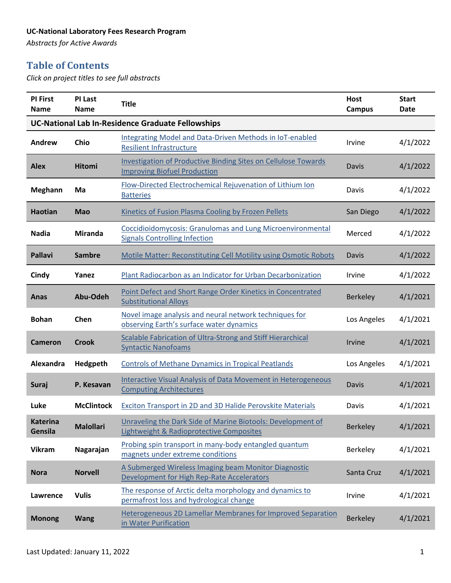### **UC-National Laboratory Fees Research Program**

*Abstracts for Active Awards* 

# **Table of Contents**

*Click on project titles to see full abstracts*

| <b>PI First</b><br>Name    | PI Last<br><b>Name</b> | <b>Title</b>                                                                                                 | <b>Host</b><br><b>Campus</b> | <b>Start</b><br>Date |
|----------------------------|------------------------|--------------------------------------------------------------------------------------------------------------|------------------------------|----------------------|
|                            |                        | <b>UC-National Lab In-Residence Graduate Fellowships</b>                                                     |                              |                      |
| Andrew                     | Chio                   | Integrating Model and Data-Driven Methods in IoT-enabled<br><b>Resilient Infrastructure</b>                  | Irvine                       | 4/1/2022             |
| <b>Alex</b>                | <b>Hitomi</b>          | <b>Investigation of Productive Binding Sites on Cellulose Towards</b><br><b>Improving Biofuel Production</b> | Davis                        | 4/1/2022             |
| <b>Meghann</b>             | Ma                     | <b>Flow-Directed Electrochemical Rejuvenation of Lithium Ion</b><br><b>Batteries</b>                         | Davis                        | 4/1/2022             |
| <b>Haotian</b>             | <b>Mao</b>             | Kinetics of Fusion Plasma Cooling by Frozen Pellets                                                          | San Diego                    | 4/1/2022             |
| <b>Nadia</b>               | <b>Miranda</b>         | <b>Coccidioidomycosis: Granulomas and Lung Microenvironmental</b><br><b>Signals Controlling Infection</b>    | Merced                       | 4/1/2022             |
| <b>Pallavi</b>             | <b>Sambre</b>          | Motile Matter: Reconstituting Cell Motility using Osmotic Robots                                             | Davis                        | 4/1/2022             |
| Cindy                      | Yanez                  | Plant Radiocarbon as an Indicator for Urban Decarbonization                                                  | Irvine                       | 4/1/2022             |
| <b>Anas</b>                | Abu-Odeh               | Point Defect and Short Range Order Kinetics in Concentrated<br><b>Substitutional Alloys</b>                  | <b>Berkeley</b>              | 4/1/2021             |
| <b>Bohan</b>               | Chen                   | Novel image analysis and neural network techniques for<br>observing Earth's surface water dynamics           | Los Angeles                  | 4/1/2021             |
| <b>Cameron</b>             | Crook                  | Scalable Fabrication of Ultra-Strong and Stiff Hierarchical<br><b>Syntactic Nanofoams</b>                    | Irvine                       | 4/1/2021             |
| Alexandra                  | Hedgpeth               | <b>Controls of Methane Dynamics in Tropical Peatlands</b>                                                    | Los Angeles                  | 4/1/2021             |
| Suraj                      | P. Kesavan             | Interactive Visual Analysis of Data Movement in Heterogeneous<br><b>Computing Architectures</b>              | Davis                        | 4/1/2021             |
| Luke                       | <b>McClintock</b>      | Exciton Transport in 2D and 3D Halide Perovskite Materials                                                   | Davis                        | 4/1/2021             |
| <b>Katerina</b><br>Gensila | <b>Malollari</b>       | Unraveling the Dark Side of Marine Biotools: Development of<br>Lightweight & Radioprotective Composites      | <b>Berkeley</b>              | 4/1/2021             |
| <b>Vikram</b>              | Nagarajan              | Probing spin transport in many-body entangled quantum<br>magnets under extreme conditions                    | Berkeley                     | 4/1/2021             |
| <b>Nora</b>                | <b>Norvell</b>         | A Submerged Wireless Imaging beam Monitor Diagnostic<br>Development for High Rep-Rate Accelerators           | Santa Cruz                   | 4/1/2021             |
| Lawrence                   | <b>Vulis</b>           | The response of Arctic delta morphology and dynamics to<br>permafrost loss and hydrological change           | Irvine                       | 4/1/2021             |
| <b>Monong</b>              | <b>Wang</b>            | <b>Heterogeneous 2D Lamellar Membranes for Improved Separation</b><br>in Water Purification                  | <b>Berkeley</b>              | 4/1/2021             |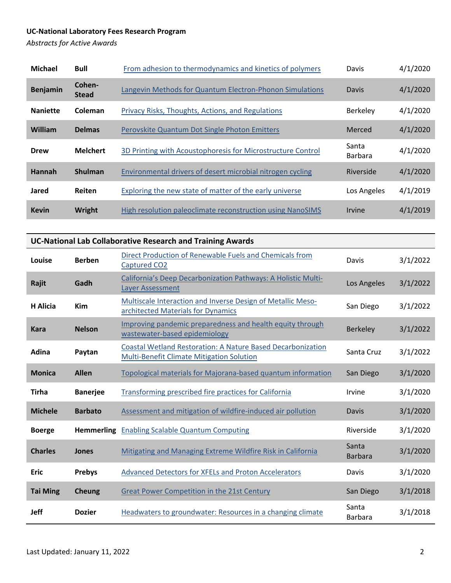### **UC-National Laboratory Fees Research Program**

*Abstracts for Active Awards* 

| <b>Michael</b>  | Bull                   | From adhesion to thermodynamics and kinetics of polymers    | Davis                       | 4/1/2020 |
|-----------------|------------------------|-------------------------------------------------------------|-----------------------------|----------|
| Benjamin        | Cohen-<br><b>Stead</b> | Langevin Methods for Quantum Electron-Phonon Simulations    | Davis                       | 4/1/2020 |
| <b>Naniette</b> | Coleman                | Privacy Risks, Thoughts, Actions, and Regulations           | <b>Berkeley</b>             | 4/1/2020 |
| William         | <b>Delmas</b>          | Perovskite Quantum Dot Single Photon Emitters               | Merced                      | 4/1/2020 |
| Drew            | <b>Melchert</b>        | 3D Printing with Acoustophoresis for Microstructure Control | Santa<br>Barbara            | 4/1/2020 |
| Hannah          | <b>Shulman</b>         | Environmental drivers of desert microbial nitrogen cycling  | Riverside                   | 4/1/2020 |
| Jared           | Reiten                 | Exploring the new state of matter of the early universe     | Los Angeles                 | 4/1/2019 |
| <b>Kevin</b>    | <b>Wright</b>          | High resolution paleoclimate reconstruction using NanoSIMS  | <i><u><b>Irvine</b></u></i> | 4/1/2019 |

| UC-National Lab Collaborative Research and Training Awards |                 |                                                                                                          |                         |          |  |
|------------------------------------------------------------|-----------------|----------------------------------------------------------------------------------------------------------|-------------------------|----------|--|
| Louise                                                     | <b>Berben</b>   | Direct Production of Renewable Fuels and Chemicals from<br><b>Captured CO2</b>                           | Davis                   | 3/1/2022 |  |
| Rajit                                                      | Gadh            | California's Deep Decarbonization Pathways: A Holistic Multi-<br>Layer Assessment                        | Los Angeles             | 3/1/2022 |  |
| <b>H</b> Alicia                                            | <b>Kim</b>      | Multiscale Interaction and Inverse Design of Metallic Meso-<br>architected Materials for Dynamics        | San Diego               | 3/1/2022 |  |
| <b>Kara</b>                                                | <b>Nelson</b>   | Improving pandemic preparedness and health equity through<br>wastewater-based epidemiology               | <b>Berkeley</b>         | 3/1/2022 |  |
| Adina                                                      | Paytan          | Coastal Wetland Restoration: A Nature Based Decarbonization<br>Multi-Benefit Climate Mitigation Solution | Santa Cruz              | 3/1/2022 |  |
| <b>Monica</b>                                              | <b>Allen</b>    | Topological materials for Majorana-based quantum information                                             | San Diego               | 3/1/2020 |  |
| <b>Tirha</b>                                               | <b>Banerjee</b> | Transforming prescribed fire practices for California                                                    | Irvine                  | 3/1/2020 |  |
| <b>Michele</b>                                             | <b>Barbato</b>  | Assessment and mitigation of wildfire-induced air pollution                                              | Davis                   | 3/1/2020 |  |
| <b>Boerge</b>                                              |                 | <b>Hemmerling</b> Enabling Scalable Quantum Computing                                                    | Riverside               | 3/1/2020 |  |
| <b>Charles</b>                                             | Jones           | Mitigating and Managing Extreme Wildfire Risk in California                                              | Santa<br><b>Barbara</b> | 3/1/2020 |  |
| <b>Eric</b>                                                | <b>Prebys</b>   | Advanced Detectors for XFELs and Proton Accelerators                                                     | Davis                   | 3/1/2020 |  |
| <b>Tai Ming</b>                                            | <b>Cheung</b>   | <b>Great Power Competition in the 21st Century</b>                                                       | San Diego               | 3/1/2018 |  |
| <b>Jeff</b>                                                | <b>Dozier</b>   | Headwaters to groundwater: Resources in a changing climate                                               | Santa<br><b>Barbara</b> | 3/1/2018 |  |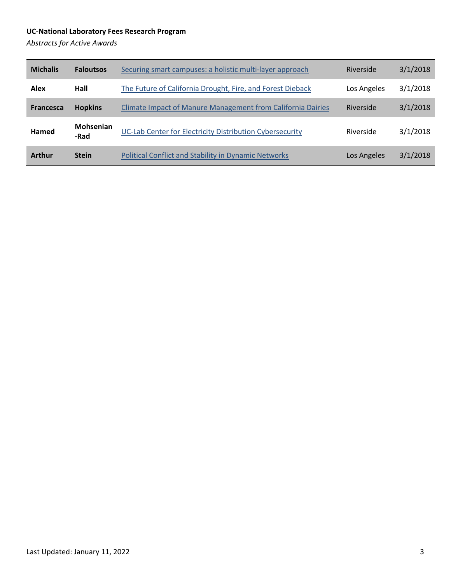### **UC-National Laboratory Fees Research Program**

*Abstracts for Active Awards* 

| <b>Michalis</b>  | <b>Faloutsos</b>         | Securing smart campuses: a holistic multi-layer approach           | Riverside   | 3/1/2018 |
|------------------|--------------------------|--------------------------------------------------------------------|-------------|----------|
| Alex             | Hall                     | The Future of California Drought, Fire, and Forest Dieback         | Los Angeles | 3/1/2018 |
| <b>Francesca</b> | <b>Hopkins</b>           | <b>Climate Impact of Manure Management from California Dairies</b> | Riverside   | 3/1/2018 |
| Hamed            | <b>Mohsenian</b><br>-Rad | UC-Lab Center for Electricity Distribution Cybersecurity           | Riverside   | 3/1/2018 |
| <b>Arthur</b>    | <b>Stein</b>             | <b>Political Conflict and Stability in Dynamic Networks</b>        | Los Angeles | 3/1/2018 |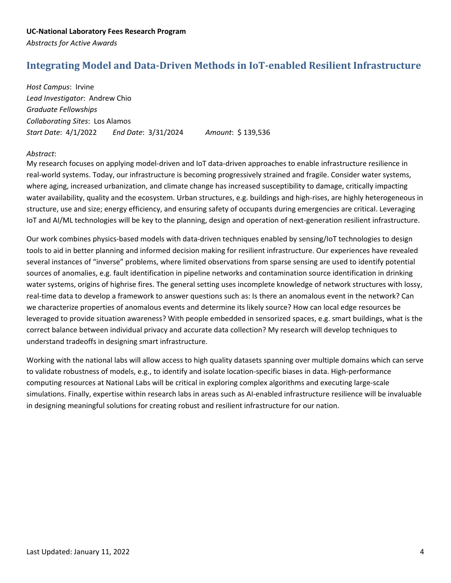# <span id="page-3-0"></span>**Integrating Model and Data-Driven Methods in IoT-enabled Resilient Infrastructure**

*Host Campus*: Irvine *Lead Investigator*: Andrew Chio *Graduate Fellowships Collaborating Sites*: Los Alamos *Start Date*: 4/1/2022 *End Date*: 3/31/2024 *Amount*: \$ 139,536

#### *Abstract*:

My research focuses on applying model-driven and IoT data-driven approaches to enable infrastructure resilience in real-world systems. Today, our infrastructure is becoming progressively strained and fragile. Consider water systems, where aging, increased urbanization, and climate change has increased susceptibility to damage, critically impacting water availability, quality and the ecosystem. Urban structures, e.g. buildings and high-rises, are highly heterogeneous in structure, use and size; energy efficiency, and ensuring safety of occupants during emergencies are critical. Leveraging IoT and AI/ML technologies will be key to the planning, design and operation of next-generation resilient infrastructure.

Our work combines physics-based models with data-driven techniques enabled by sensing/IoT technologies to design tools to aid in better planning and informed decision making for resilient infrastructure. Our experiences have revealed several instances of "inverse" problems, where limited observations from sparse sensing are used to identify potential sources of anomalies, e.g. fault identification in pipeline networks and contamination source identification in drinking water systems, origins of highrise fires. The general setting uses incomplete knowledge of network structures with lossy, real-time data to develop a framework to answer questions such as: Is there an anomalous event in the network? Can we characterize properties of anomalous events and determine its likely source? How can local edge resources be leveraged to provide situation awareness? With people embedded in sensorized spaces, e.g. smart buildings, what is the correct balance between individual privacy and accurate data collection? My research will develop techniques to understand tradeoffs in designing smart infrastructure.

Working with the national labs will allow access to high quality datasets spanning over multiple domains which can serve to validate robustness of models, e.g., to identify and isolate location-specific biases in data. High-performance computing resources at National Labs will be critical in exploring complex algorithms and executing large-scale simulations. Finally, expertise within research labs in areas such as AI-enabled infrastructure resilience will be invaluable in designing meaningful solutions for creating robust and resilient infrastructure for our nation.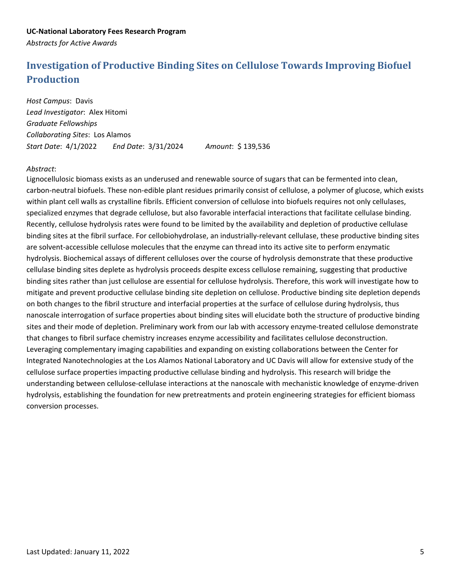# <span id="page-4-0"></span>**Investigation of Productive Binding Sites on Cellulose Towards Improving Biofuel Production**

*Host Campus*: Davis *Lead Investigator*: Alex Hitomi *Graduate Fellowships Collaborating Sites*: Los Alamos *Start Date*: 4/1/2022 *End Date*: 3/31/2024 *Amount*: \$ 139,536

#### *Abstract*:

Lignocellulosic biomass exists as an underused and renewable source of sugars that can be fermented into clean, carbon-neutral biofuels. These non-edible plant residues primarily consist of cellulose, a polymer of glucose, which exists within plant cell walls as crystalline fibrils. Efficient conversion of cellulose into biofuels requires not only cellulases, specialized enzymes that degrade cellulose, but also favorable interfacial interactions that facilitate cellulase binding. Recently, cellulose hydrolysis rates were found to be limited by the availability and depletion of productive cellulase binding sites at the fibril surface. For cellobiohydrolase, an industrially-relevant cellulase, these productive binding sites are solvent-accessible cellulose molecules that the enzyme can thread into its active site to perform enzymatic hydrolysis. Biochemical assays of different celluloses over the course of hydrolysis demonstrate that these productive cellulase binding sites deplete as hydrolysis proceeds despite excess cellulose remaining, suggesting that productive binding sites rather than just cellulose are essential for cellulose hydrolysis. Therefore, this work will investigate how to mitigate and prevent productive cellulase binding site depletion on cellulose. Productive binding site depletion depends on both changes to the fibril structure and interfacial properties at the surface of cellulose during hydrolysis, thus nanoscale interrogation of surface properties about binding sites will elucidate both the structure of productive binding sites and their mode of depletion. Preliminary work from our lab with accessory enzyme-treated cellulose demonstrate that changes to fibril surface chemistry increases enzyme accessibility and facilitates cellulose deconstruction. Leveraging complementary imaging capabilities and expanding on existing collaborations between the Center for Integrated Nanotechnologies at the Los Alamos National Laboratory and UC Davis will allow for extensive study of the cellulose surface properties impacting productive cellulase binding and hydrolysis. This research will bridge the understanding between cellulose-cellulase interactions at the nanoscale with mechanistic knowledge of enzyme-driven hydrolysis, establishing the foundation for new pretreatments and protein engineering strategies for efficient biomass conversion processes.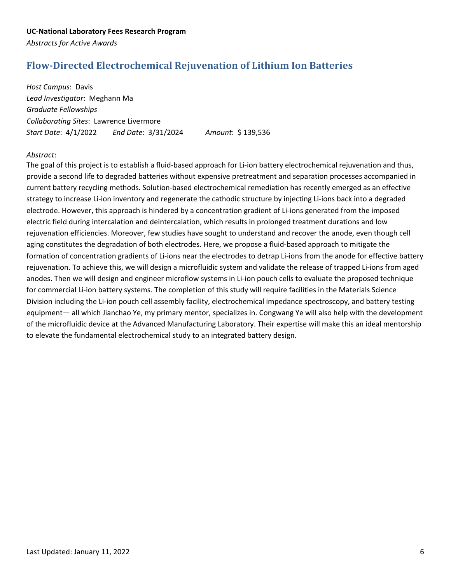# <span id="page-5-0"></span>**Flow-Directed Electrochemical Rejuvenation of Lithium Ion Batteries**

*Host Campus*: Davis *Lead Investigator*: Meghann Ma *Graduate Fellowships Collaborating Sites*: Lawrence Livermore *Start Date*: 4/1/2022 *End Date*: 3/31/2024 *Amount*: \$ 139,536

#### *Abstract*:

The goal of this project is to establish a fluid-based approach for Li-ion battery electrochemical rejuvenation and thus, provide a second life to degraded batteries without expensive pretreatment and separation processes accompanied in current battery recycling methods. Solution-based electrochemical remediation has recently emerged as an effective strategy to increase Li-ion inventory and regenerate the cathodic structure by injecting Li-ions back into a degraded electrode. However, this approach is hindered by a concentration gradient of Li-ions generated from the imposed electric field during intercalation and deintercalation, which results in prolonged treatment durations and low rejuvenation efficiencies. Moreover, few studies have sought to understand and recover the anode, even though cell aging constitutes the degradation of both electrodes. Here, we propose a fluid-based approach to mitigate the formation of concentration gradients of Li-ions near the electrodes to detrap Li-ions from the anode for effective battery rejuvenation. To achieve this, we will design a microfluidic system and validate the release of trapped Li-ions from aged anodes. Then we will design and engineer microflow systems in Li-ion pouch cells to evaluate the proposed technique for commercial Li-ion battery systems. The completion of this study will require facilities in the Materials Science Division including the Li-ion pouch cell assembly facility, electrochemical impedance spectroscopy, and battery testing equipment— all which Jianchao Ye, my primary mentor, specializes in. Congwang Ye will also help with the development of the microfluidic device at the Advanced Manufacturing Laboratory. Their expertise will make this an ideal mentorship to elevate the fundamental electrochemical study to an integrated battery design.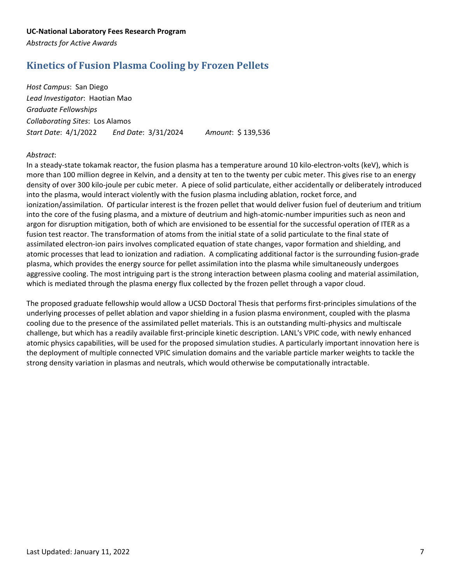# <span id="page-6-0"></span>**Kinetics of Fusion Plasma Cooling by Frozen Pellets**

*Host Campus*: San Diego *Lead Investigator*: Haotian Mao *Graduate Fellowships Collaborating Sites*: Los Alamos *Start Date*: 4/1/2022 *End Date*: 3/31/2024 *Amount*: \$ 139,536

#### *Abstract*:

In a steady-state tokamak reactor, the fusion plasma has a temperature around 10 kilo-electron-volts (keV), which is more than 100 million degree in Kelvin, and a density at ten to the twenty per cubic meter. This gives rise to an energy density of over 300 kilo-joule per cubic meter. A piece of solid particulate, either accidentally or deliberately introduced into the plasma, would interact violently with the fusion plasma including ablation, rocket force, and ionization/assimilation. Of particular interest is the frozen pellet that would deliver fusion fuel of deuterium and tritium into the core of the fusing plasma, and a mixture of deutrium and high-atomic-number impurities such as neon and argon for disruption mitigation, both of which are envisioned to be essential for the successful operation of ITER as a fusion test reactor. The transformation of atoms from the initial state of a solid particulate to the final state of assimilated electron-ion pairs involves complicated equation of state changes, vapor formation and shielding, and atomic processes that lead to ionization and radiation. A complicating additional factor is the surrounding fusion-grade plasma, which provides the energy source for pellet assimilation into the plasma while simultaneously undergoes aggressive cooling. The most intriguing part is the strong interaction between plasma cooling and material assimilation, which is mediated through the plasma energy flux collected by the frozen pellet through a vapor cloud.

The proposed graduate fellowship would allow a UCSD Doctoral Thesis that performs first-principles simulations of the underlying processes of pellet ablation and vapor shielding in a fusion plasma environment, coupled with the plasma cooling due to the presence of the assimilated pellet materials. This is an outstanding multi-physics and multiscale challenge, but which has a readily available first-principle kinetic description. LANL's VPIC code, with newly enhanced atomic physics capabilities, will be used for the proposed simulation studies. A particularly important innovation here is the deployment of multiple connected VPIC simulation domains and the variable particle marker weights to tackle the strong density variation in plasmas and neutrals, which would otherwise be computationally intractable.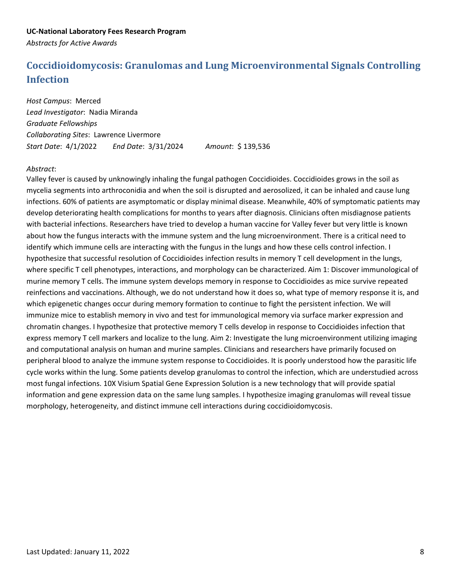# <span id="page-7-0"></span>**Coccidioidomycosis: Granulomas and Lung Microenvironmental Signals Controlling Infection**

*Host Campus*: Merced *Lead Investigator*: Nadia Miranda *Graduate Fellowships Collaborating Sites*: Lawrence Livermore *Start Date*: 4/1/2022 *End Date*: 3/31/2024 *Amount*: \$ 139,536

#### *Abstract*:

Valley fever is caused by unknowingly inhaling the fungal pathogen Coccidioides. Coccidioides grows in the soil as mycelia segments into arthroconidia and when the soil is disrupted and aerosolized, it can be inhaled and cause lung infections. 60% of patients are asymptomatic or display minimal disease. Meanwhile, 40% of symptomatic patients may develop deteriorating health complications for months to years after diagnosis. Clinicians often misdiagnose patients with bacterial infections. Researchers have tried to develop a human vaccine for Valley fever but very little is known about how the fungus interacts with the immune system and the lung microenvironment. There is a critical need to identify which immune cells are interacting with the fungus in the lungs and how these cells control infection. I hypothesize that successful resolution of Coccidioides infection results in memory T cell development in the lungs, where specific T cell phenotypes, interactions, and morphology can be characterized. Aim 1: Discover immunological of murine memory T cells. The immune system develops memory in response to Coccidioides as mice survive repeated reinfections and vaccinations. Although, we do not understand how it does so, what type of memory response it is, and which epigenetic changes occur during memory formation to continue to fight the persistent infection. We will immunize mice to establish memory in vivo and test for immunological memory via surface marker expression and chromatin changes. I hypothesize that protective memory T cells develop in response to Coccidioides infection that express memory T cell markers and localize to the lung. Aim 2: Investigate the lung microenvironment utilizing imaging and computational analysis on human and murine samples. Clinicians and researchers have primarily focused on peripheral blood to analyze the immune system response to Coccidioides. It is poorly understood how the parasitic life cycle works within the lung. Some patients develop granulomas to control the infection, which are understudied across most fungal infections. 10X Visium Spatial Gene Expression Solution is a new technology that will provide spatial information and gene expression data on the same lung samples. I hypothesize imaging granulomas will reveal tissue morphology, heterogeneity, and distinct immune cell interactions during coccidioidomycosis.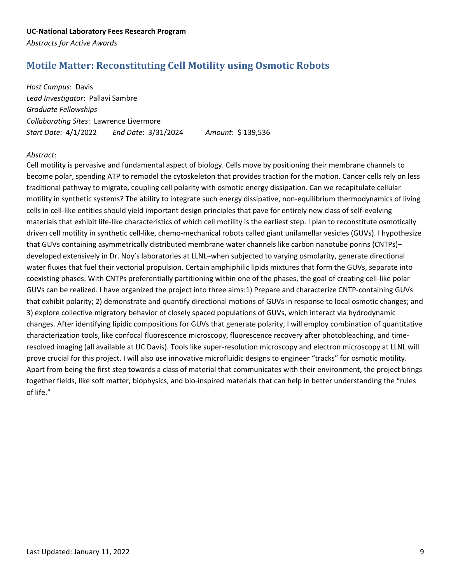# <span id="page-8-0"></span>**Motile Matter: Reconstituting Cell Motility using Osmotic Robots**

*Host Campus*: Davis *Lead Investigator*: Pallavi Sambre *Graduate Fellowships Collaborating Sites*: Lawrence Livermore *Start Date*: 4/1/2022 *End Date*: 3/31/2024 *Amount*: \$ 139,536

#### *Abstract*:

Cell motility is pervasive and fundamental aspect of biology. Cells move by positioning their membrane channels to become polar, spending ATP to remodel the cytoskeleton that provides traction for the motion. Cancer cells rely on less traditional pathway to migrate, coupling cell polarity with osmotic energy dissipation. Can we recapitulate cellular motility in synthetic systems? The ability to integrate such energy dissipative, non-equilibrium thermodynamics of living cells in cell-like entities should yield important design principles that pave for entirely new class of self-evolving materials that exhibit life-like characteristics of which cell motility is the earliest step. I plan to reconstitute osmotically driven cell motility in synthetic cell-like, chemo-mechanical robots called giant unilamellar vesicles (GUVs). I hypothesize that GUVs containing asymmetrically distributed membrane water channels like carbon nanotube porins (CNTPs)– developed extensively in Dr. Noy's laboratories at LLNL–when subjected to varying osmolarity, generate directional water fluxes that fuel their vectorial propulsion. Certain amphiphilic lipids mixtures that form the GUVs, separate into coexisting phases. With CNTPs preferentially partitioning within one of the phases, the goal of creating cell-like polar GUVs can be realized. I have organized the project into three aims:1) Prepare and characterize CNTP-containing GUVs that exhibit polarity; 2) demonstrate and quantify directional motions of GUVs in response to local osmotic changes; and 3) explore collective migratory behavior of closely spaced populations of GUVs, which interact via hydrodynamic changes. After identifying lipidic compositions for GUVs that generate polarity, I will employ combination of quantitative characterization tools, like confocal fluorescence microscopy, fluorescence recovery after photobleaching, and timeresolved imaging (all available at UC Davis). Tools like super-resolution microscopy and electron microscopy at LLNL will prove crucial for this project. I will also use innovative microfluidic designs to engineer "tracks" for osmotic motility. Apart from being the first step towards a class of material that communicates with their environment, the project brings together fields, like soft matter, biophysics, and bio-inspired materials that can help in better understanding the "rules of life."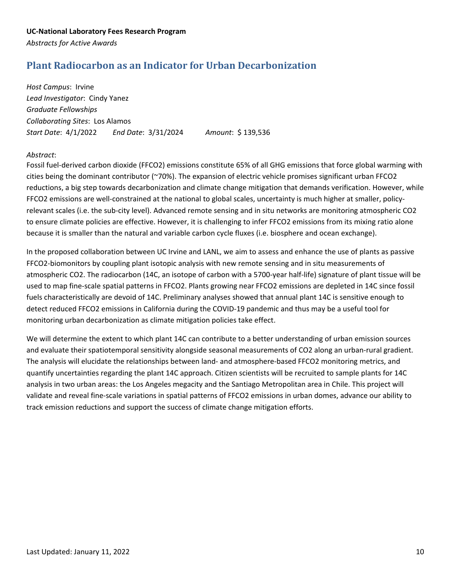# <span id="page-9-0"></span>**Plant Radiocarbon as an Indicator for Urban Decarbonization**

*Host Campus*: Irvine *Lead Investigator*: Cindy Yanez *Graduate Fellowships Collaborating Sites*: Los Alamos *Start Date*: 4/1/2022 *End Date*: 3/31/2024 *Amount*: \$ 139,536

#### *Abstract*:

Fossil fuel-derived carbon dioxide (FFCO2) emissions constitute 65% of all GHG emissions that force global warming with cities being the dominant contributor (~70%). The expansion of electric vehicle promises significant urban FFCO2 reductions, a big step towards decarbonization and climate change mitigation that demands verification. However, while FFCO2 emissions are well-constrained at the national to global scales, uncertainty is much higher at smaller, policyrelevant scales (i.e. the sub-city level). Advanced remote sensing and in situ networks are monitoring atmospheric CO2 to ensure climate policies are effective. However, it is challenging to infer FFCO2 emissions from its mixing ratio alone because it is smaller than the natural and variable carbon cycle fluxes (i.e. biosphere and ocean exchange).

In the proposed collaboration between UC Irvine and LANL, we aim to assess and enhance the use of plants as passive FFCO2-biomonitors by coupling plant isotopic analysis with new remote sensing and in situ measurements of atmospheric CO2. The radiocarbon (14C, an isotope of carbon with a 5700-year half-life) signature of plant tissue will be used to map fine-scale spatial patterns in FFCO2. Plants growing near FFCO2 emissions are depleted in 14C since fossil fuels characteristically are devoid of 14C. Preliminary analyses showed that annual plant 14C is sensitive enough to detect reduced FFCO2 emissions in California during the COVID-19 pandemic and thus may be a useful tool for monitoring urban decarbonization as climate mitigation policies take effect.

We will determine the extent to which plant 14C can contribute to a better understanding of urban emission sources and evaluate their spatiotemporal sensitivity alongside seasonal measurements of CO2 along an urban-rural gradient. The analysis will elucidate the relationships between land- and atmosphere-based FFCO2 monitoring metrics, and quantify uncertainties regarding the plant 14C approach. Citizen scientists will be recruited to sample plants for 14C analysis in two urban areas: the Los Angeles megacity and the Santiago Metropolitan area in Chile. This project will validate and reveal fine-scale variations in spatial patterns of FFCO2 emissions in urban domes, advance our ability to track emission reductions and support the success of climate change mitigation efforts.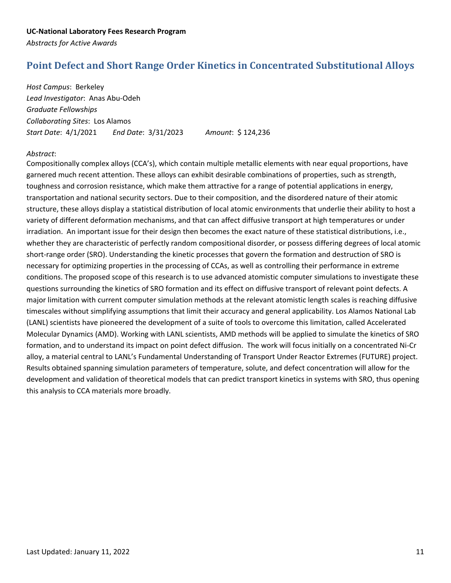## <span id="page-10-0"></span>**Point Defect and Short Range Order Kinetics in Concentrated Substitutional Alloys**

*Host Campus*: Berkeley *Lead Investigator*: Anas Abu-Odeh *Graduate Fellowships Collaborating Sites*: Los Alamos *Start Date*: 4/1/2021 *End Date*: 3/31/2023 *Amount*: \$ 124,236

#### *Abstract*:

Compositionally complex alloys (CCA's), which contain multiple metallic elements with near equal proportions, have garnered much recent attention. These alloys can exhibit desirable combinations of properties, such as strength, toughness and corrosion resistance, which make them attractive for a range of potential applications in energy, transportation and national security sectors. Due to their composition, and the disordered nature of their atomic structure, these alloys display a statistical distribution of local atomic environments that underlie their ability to host a variety of different deformation mechanisms, and that can affect diffusive transport at high temperatures or under irradiation. An important issue for their design then becomes the exact nature of these statistical distributions, i.e., whether they are characteristic of perfectly random compositional disorder, or possess differing degrees of local atomic short-range order (SRO). Understanding the kinetic processes that govern the formation and destruction of SRO is necessary for optimizing properties in the processing of CCAs, as well as controlling their performance in extreme conditions. The proposed scope of this research is to use advanced atomistic computer simulations to investigate these questions surrounding the kinetics of SRO formation and its effect on diffusive transport of relevant point defects. A major limitation with current computer simulation methods at the relevant atomistic length scales is reaching diffusive timescales without simplifying assumptions that limit their accuracy and general applicability. Los Alamos National Lab (LANL) scientists have pioneered the development of a suite of tools to overcome this limitation, called Accelerated Molecular Dynamics (AMD). Working with LANL scientists, AMD methods will be applied to simulate the kinetics of SRO formation, and to understand its impact on point defect diffusion. The work will focus initially on a concentrated Ni-Cr alloy, a material central to LANL's Fundamental Understanding of Transport Under Reactor Extremes (FUTURE) project. Results obtained spanning simulation parameters of temperature, solute, and defect concentration will allow for the development and validation of theoretical models that can predict transport kinetics in systems with SRO, thus opening this analysis to CCA materials more broadly.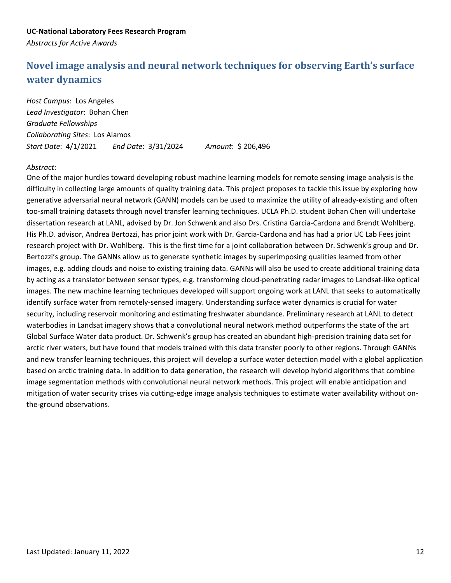# <span id="page-11-0"></span>**Novel image analysis and neural network techniques for observing Earth's surface water dynamics**

*Host Campus*: Los Angeles *Lead Investigator*: Bohan Chen *Graduate Fellowships Collaborating Sites*: Los Alamos *Start Date*: 4/1/2021 *End Date*: 3/31/2024 *Amount*: \$ 206,496

#### *Abstract*:

One of the major hurdles toward developing robust machine learning models for remote sensing image analysis is the difficulty in collecting large amounts of quality training data. This project proposes to tackle this issue by exploring how generative adversarial neural network (GANN) models can be used to maximize the utility of already-existing and often too-small training datasets through novel transfer learning techniques. UCLA Ph.D. student Bohan Chen will undertake dissertation research at LANL, advised by Dr. Jon Schwenk and also Drs. Cristina Garcia-Cardona and Brendt Wohlberg. His Ph.D. advisor, Andrea Bertozzi, has prior joint work with Dr. Garcia-Cardona and has had a prior UC Lab Fees joint research project with Dr. Wohlberg. This is the first time for a joint collaboration between Dr. Schwenk's group and Dr. Bertozzi's group. The GANNs allow us to generate synthetic images by superimposing qualities learned from other images, e.g. adding clouds and noise to existing training data. GANNs will also be used to create additional training data by acting as a translator between sensor types, e.g. transforming cloud-penetrating radar images to Landsat-like optical images. The new machine learning techniques developed will support ongoing work at LANL that seeks to automatically identify surface water from remotely-sensed imagery. Understanding surface water dynamics is crucial for water security, including reservoir monitoring and estimating freshwater abundance. Preliminary research at LANL to detect waterbodies in Landsat imagery shows that a convolutional neural network method outperforms the state of the art Global Surface Water data product. Dr. Schwenk's group has created an abundant high-precision training data set for arctic river waters, but have found that models trained with this data transfer poorly to other regions. Through GANNs and new transfer learning techniques, this project will develop a surface water detection model with a global application based on arctic training data. In addition to data generation, the research will develop hybrid algorithms that combine image segmentation methods with convolutional neural network methods. This project will enable anticipation and mitigation of water security crises via cutting-edge image analysis techniques to estimate water availability without onthe-ground observations.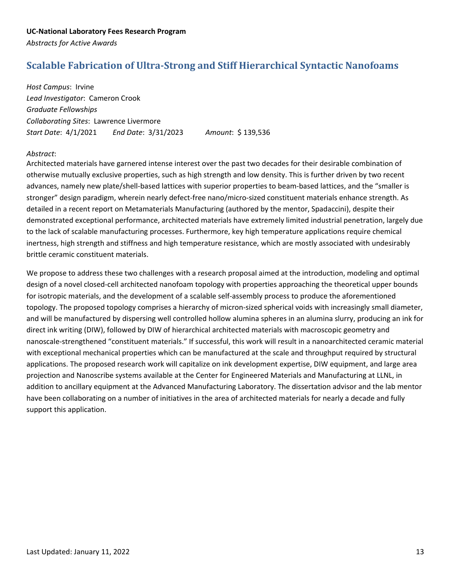### <span id="page-12-0"></span>**Scalable Fabrication of Ultra-Strong and Stiff Hierarchical Syntactic Nanofoams**

*Host Campus*: Irvine *Lead Investigator*: Cameron Crook *Graduate Fellowships Collaborating Sites*: Lawrence Livermore *Start Date*: 4/1/2021 *End Date*: 3/31/2023 *Amount*: \$ 139,536

#### *Abstract*:

Architected materials have garnered intense interest over the past two decades for their desirable combination of otherwise mutually exclusive properties, such as high strength and low density. This is further driven by two recent advances, namely new plate/shell-based lattices with superior properties to beam-based lattices, and the "smaller is stronger" design paradigm, wherein nearly defect-free nano/micro-sized constituent materials enhance strength. As detailed in a recent report on Metamaterials Manufacturing (authored by the mentor, Spadaccini), despite their demonstrated exceptional performance, architected materials have extremely limited industrial penetration, largely due to the lack of scalable manufacturing processes. Furthermore, key high temperature applications require chemical inertness, high strength and stiffness and high temperature resistance, which are mostly associated with undesirably brittle ceramic constituent materials.

We propose to address these two challenges with a research proposal aimed at the introduction, modeling and optimal design of a novel closed-cell architected nanofoam topology with properties approaching the theoretical upper bounds for isotropic materials, and the development of a scalable self-assembly process to produce the aforementioned topology. The proposed topology comprises a hierarchy of micron-sized spherical voids with increasingly small diameter, and will be manufactured by dispersing well controlled hollow alumina spheres in an alumina slurry, producing an ink for direct ink writing (DIW), followed by DIW of hierarchical architected materials with macroscopic geometry and nanoscale-strengthened "constituent materials." If successful, this work will result in a nanoarchitected ceramic material with exceptional mechanical properties which can be manufactured at the scale and throughput required by structural applications. The proposed research work will capitalize on ink development expertise, DIW equipment, and large area projection and Nanoscribe systems available at the Center for Engineered Materials and Manufacturing at LLNL, in addition to ancillary equipment at the Advanced Manufacturing Laboratory. The dissertation advisor and the lab mentor have been collaborating on a number of initiatives in the area of architected materials for nearly a decade and fully support this application.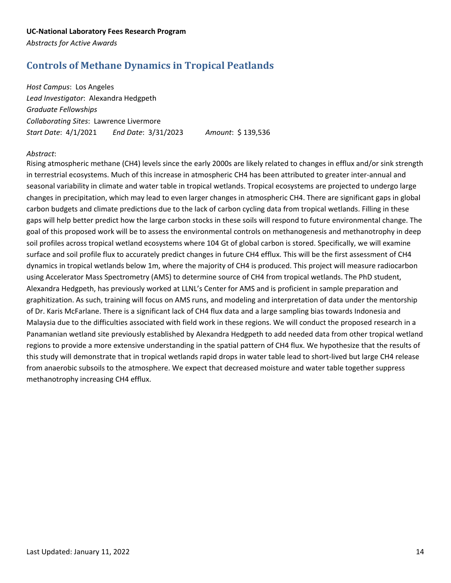# <span id="page-13-0"></span>**Controls of Methane Dynamics in Tropical Peatlands**

*Host Campus*: Los Angeles *Lead Investigator*: Alexandra Hedgpeth *Graduate Fellowships Collaborating Sites*: Lawrence Livermore *Start Date*: 4/1/2021 *End Date*: 3/31/2023 *Amount*: \$ 139,536

### *Abstract*:

Rising atmospheric methane (CH4) levels since the early 2000s are likely related to changes in efflux and/or sink strength in terrestrial ecosystems. Much of this increase in atmospheric CH4 has been attributed to greater inter-annual and seasonal variability in climate and water table in tropical wetlands. Tropical ecosystems are projected to undergo large changes in precipitation, which may lead to even larger changes in atmospheric CH4. There are significant gaps in global carbon budgets and climate predictions due to the lack of carbon cycling data from tropical wetlands. Filling in these gaps will help better predict how the large carbon stocks in these soils will respond to future environmental change. The goal of this proposed work will be to assess the environmental controls on methanogenesis and methanotrophy in deep soil profiles across tropical wetland ecosystems where 104 Gt of global carbon is stored. Specifically, we will examine surface and soil profile flux to accurately predict changes in future CH4 efflux. This will be the first assessment of CH4 dynamics in tropical wetlands below 1m, where the majority of CH4 is produced. This project will measure radiocarbon using Accelerator Mass Spectrometry (AMS) to determine source of CH4 from tropical wetlands. The PhD student, Alexandra Hedgpeth, has previously worked at LLNL's Center for AMS and is proficient in sample preparation and graphitization. As such, training will focus on AMS runs, and modeling and interpretation of data under the mentorship of Dr. Karis McFarlane. There is a significant lack of CH4 flux data and a large sampling bias towards Indonesia and Malaysia due to the difficulties associated with field work in these regions. We will conduct the proposed research in a Panamanian wetland site previously established by Alexandra Hedgpeth to add needed data from other tropical wetland regions to provide a more extensive understanding in the spatial pattern of CH4 flux. We hypothesize that the results of this study will demonstrate that in tropical wetlands rapid drops in water table lead to short-lived but large CH4 release from anaerobic subsoils to the atmosphere. We expect that decreased moisture and water table together suppress methanotrophy increasing CH4 efflux.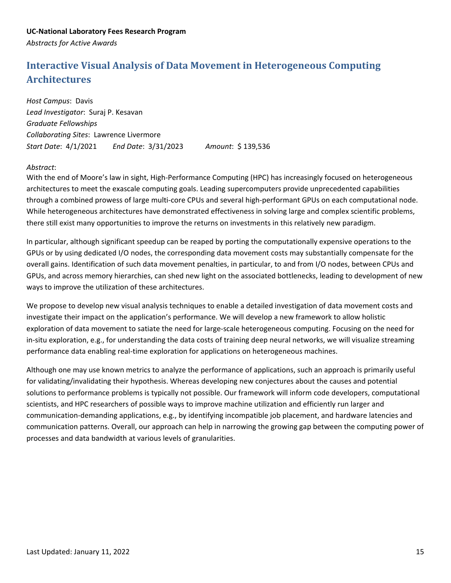# <span id="page-14-0"></span>**Interactive Visual Analysis of Data Movement in Heterogeneous Computing Architectures**

*Host Campus*: Davis *Lead Investigator*: Suraj P. Kesavan *Graduate Fellowships Collaborating Sites*: Lawrence Livermore *Start Date*: 4/1/2021 *End Date*: 3/31/2023 *Amount*: \$ 139,536

#### *Abstract*:

With the end of Moore's law in sight, High-Performance Computing (HPC) has increasingly focused on heterogeneous architectures to meet the exascale computing goals. Leading supercomputers provide unprecedented capabilities through a combined prowess of large multi-core CPUs and several high-performant GPUs on each computational node. While heterogeneous architectures have demonstrated effectiveness in solving large and complex scientific problems, there still exist many opportunities to improve the returns on investments in this relatively new paradigm.

In particular, although significant speedup can be reaped by porting the computationally expensive operations to the GPUs or by using dedicated I/O nodes, the corresponding data movement costs may substantially compensate for the overall gains. Identification of such data movement penalties, in particular, to and from I/O nodes, between CPUs and GPUs, and across memory hierarchies, can shed new light on the associated bottlenecks, leading to development of new ways to improve the utilization of these architectures.

We propose to develop new visual analysis techniques to enable a detailed investigation of data movement costs and investigate their impact on the application's performance. We will develop a new framework to allow holistic exploration of data movement to satiate the need for large-scale heterogeneous computing. Focusing on the need for in-situ exploration, e.g., for understanding the data costs of training deep neural networks, we will visualize streaming performance data enabling real-time exploration for applications on heterogeneous machines.

Although one may use known metrics to analyze the performance of applications, such an approach is primarily useful for validating/invalidating their hypothesis. Whereas developing new conjectures about the causes and potential solutions to performance problems is typically not possible. Our framework will inform code developers, computational scientists, and HPC researchers of possible ways to improve machine utilization and efficiently run larger and communication-demanding applications, e.g., by identifying incompatible job placement, and hardware latencies and communication patterns. Overall, our approach can help in narrowing the growing gap between the computing power of processes and data bandwidth at various levels of granularities.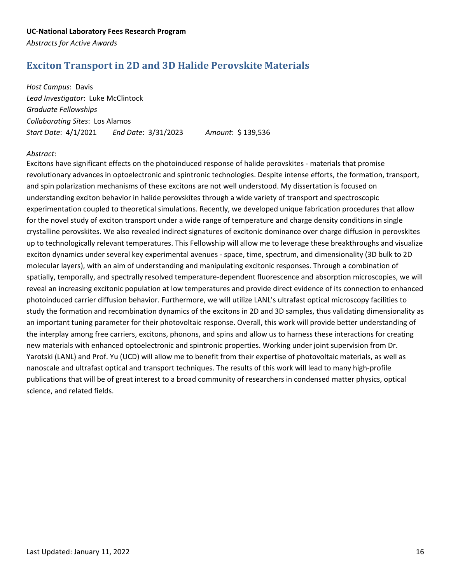## <span id="page-15-0"></span>**Exciton Transport in 2D and 3D Halide Perovskite Materials**

*Host Campus*: Davis *Lead Investigator*: Luke McClintock *Graduate Fellowships Collaborating Sites*: Los Alamos *Start Date*: 4/1/2021 *End Date*: 3/31/2023 *Amount*: \$ 139,536

### *Abstract*:

Excitons have significant effects on the photoinduced response of halide perovskites - materials that promise revolutionary advances in optoelectronic and spintronic technologies. Despite intense efforts, the formation, transport, and spin polarization mechanisms of these excitons are not well understood. My dissertation is focused on understanding exciton behavior in halide perovskites through a wide variety of transport and spectroscopic experimentation coupled to theoretical simulations. Recently, we developed unique fabrication procedures that allow for the novel study of exciton transport under a wide range of temperature and charge density conditions in single crystalline perovskites. We also revealed indirect signatures of excitonic dominance over charge diffusion in perovskites up to technologically relevant temperatures. This Fellowship will allow me to leverage these breakthroughs and visualize exciton dynamics under several key experimental avenues - space, time, spectrum, and dimensionality (3D bulk to 2D molecular layers), with an aim of understanding and manipulating excitonic responses. Through a combination of spatially, temporally, and spectrally resolved temperature-dependent fluorescence and absorption microscopies, we will reveal an increasing excitonic population at low temperatures and provide direct evidence of its connection to enhanced photoinduced carrier diffusion behavior. Furthermore, we will utilize LANL's ultrafast optical microscopy facilities to study the formation and recombination dynamics of the excitons in 2D and 3D samples, thus validating dimensionality as an important tuning parameter for their photovoltaic response. Overall, this work will provide better understanding of the interplay among free carriers, excitons, phonons, and spins and allow us to harness these interactions for creating new materials with enhanced optoelectronic and spintronic properties. Working under joint supervision from Dr. Yarotski (LANL) and Prof. Yu (UCD) will allow me to benefit from their expertise of photovoltaic materials, as well as nanoscale and ultrafast optical and transport techniques. The results of this work will lead to many high-profile publications that will be of great interest to a broad community of researchers in condensed matter physics, optical science, and related fields.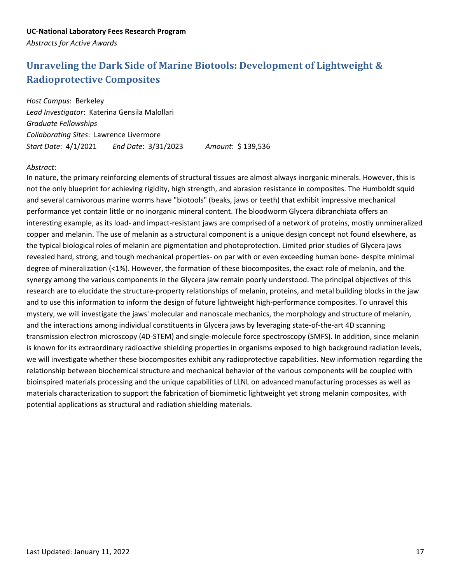# <span id="page-16-0"></span>**Unraveling the Dark Side of Marine Biotools: Development of Lightweight & Radioprotective Composites**

*Host Campus*: Berkeley *Lead Investigator*: Katerina Gensila Malollari *Graduate Fellowships Collaborating Sites*: Lawrence Livermore *Start Date*: 4/1/2021 *End Date*: 3/31/2023 *Amount*: \$ 139,536

#### *Abstract*:

In nature, the primary reinforcing elements of structural tissues are almost always inorganic minerals. However, this is not the only blueprint for achieving rigidity, high strength, and abrasion resistance in composites. The Humboldt squid and several carnivorous marine worms have "biotools" (beaks, jaws or teeth) that exhibit impressive mechanical performance yet contain little or no inorganic mineral content. The bloodworm Glycera dibranchiata offers an interesting example, as its load- and impact-resistant jaws are comprised of a network of proteins, mostly unmineralized copper and melanin. The use of melanin as a structural component is a unique design concept not found elsewhere, as the typical biological roles of melanin are pigmentation and photoprotection. Limited prior studies of Glycera jaws revealed hard, strong, and tough mechanical properties- on par with or even exceeding human bone- despite minimal degree of mineralization (<1%). However, the formation of these biocomposites, the exact role of melanin, and the synergy among the various components in the Glycera jaw remain poorly understood. The principal objectives of this research are to elucidate the structure-property relationships of melanin, proteins, and metal building blocks in the jaw and to use this information to inform the design of future lightweight high-performance composites. To unravel this mystery, we will investigate the jaws' molecular and nanoscale mechanics, the morphology and structure of melanin, and the interactions among individual constituents in Glycera jaws by leveraging state-of-the-art 4D scanning transmission electron microscopy (4D-STEM) and single-molecule force spectroscopy (SMFS). In addition, since melanin is known for its extraordinary radioactive shielding properties in organisms exposed to high background radiation levels, we will investigate whether these biocomposites exhibit any radioprotective capabilities. New information regarding the relationship between biochemical structure and mechanical behavior of the various components will be coupled with bioinspired materials processing and the unique capabilities of LLNL on advanced manufacturing processes as well as materials characterization to support the fabrication of biomimetic lightweight yet strong melanin composites, with potential applications as structural and radiation shielding materials.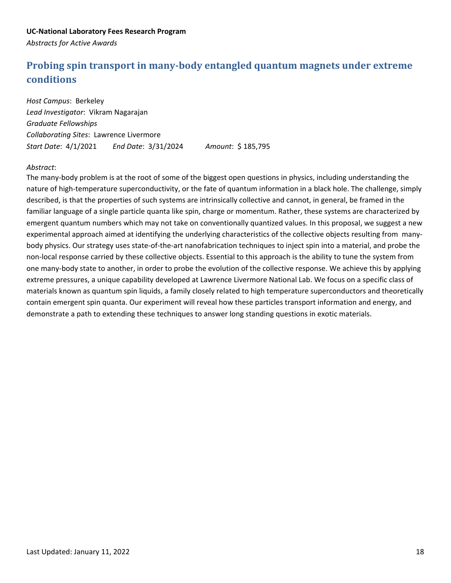# <span id="page-17-0"></span>**Probing spin transport in many-body entangled quantum magnets under extreme conditions**

*Host Campus*: Berkeley *Lead Investigator*: Vikram Nagarajan *Graduate Fellowships Collaborating Sites*: Lawrence Livermore *Start Date*: 4/1/2021 *End Date*: 3/31/2024 *Amount*: \$ 185,795

#### *Abstract*:

The many-body problem is at the root of some of the biggest open questions in physics, including understanding the nature of high-temperature superconductivity, or the fate of quantum information in a black hole. The challenge, simply described, is that the properties of such systems are intrinsically collective and cannot, in general, be framed in the familiar language of a single particle quanta like spin, charge or momentum. Rather, these systems are characterized by emergent quantum numbers which may not take on conventionally quantized values. In this proposal, we suggest a new experimental approach aimed at identifying the underlying characteristics of the collective objects resulting from manybody physics. Our strategy uses state-of-the-art nanofabrication techniques to inject spin into a material, and probe the non-local response carried by these collective objects. Essential to this approach is the ability to tune the system from one many-body state to another, in order to probe the evolution of the collective response. We achieve this by applying extreme pressures, a unique capability developed at Lawrence Livermore National Lab. We focus on a specific class of materials known as quantum spin liquids, a family closely related to high temperature superconductors and theoretically contain emergent spin quanta. Our experiment will reveal how these particles transport information and energy, and demonstrate a path to extending these techniques to answer long standing questions in exotic materials.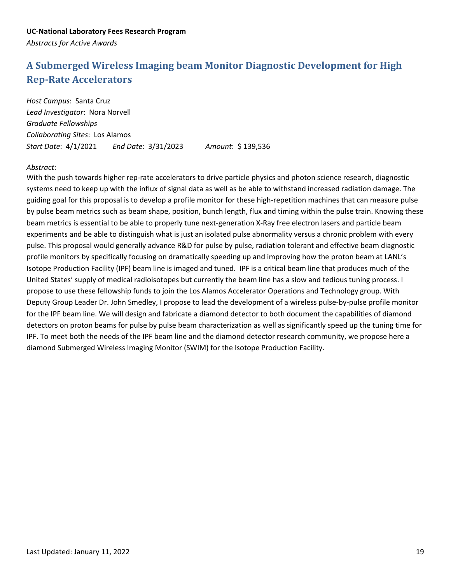# <span id="page-18-0"></span>**A Submerged Wireless Imaging beam Monitor Diagnostic Development for High Rep-Rate Accelerators**

*Host Campus*: Santa Cruz *Lead Investigator*: Nora Norvell *Graduate Fellowships Collaborating Sites*: Los Alamos *Start Date*: 4/1/2021 *End Date*: 3/31/2023 *Amount*: \$ 139,536

#### *Abstract*:

With the push towards higher rep-rate accelerators to drive particle physics and photon science research, diagnostic systems need to keep up with the influx of signal data as well as be able to withstand increased radiation damage. The guiding goal for this proposal is to develop a profile monitor for these high-repetition machines that can measure pulse by pulse beam metrics such as beam shape, position, bunch length, flux and timing within the pulse train. Knowing these beam metrics is essential to be able to properly tune next-generation X-Ray free electron lasers and particle beam experiments and be able to distinguish what is just an isolated pulse abnormality versus a chronic problem with every pulse. This proposal would generally advance R&D for pulse by pulse, radiation tolerant and effective beam diagnostic profile monitors by specifically focusing on dramatically speeding up and improving how the proton beam at LANL's Isotope Production Facility (IPF) beam line is imaged and tuned. IPF is a critical beam line that produces much of the United States' supply of medical radioisotopes but currently the beam line has a slow and tedious tuning process. I propose to use these fellowship funds to join the Los Alamos Accelerator Operations and Technology group. With Deputy Group Leader Dr. John Smedley, I propose to lead the development of a wireless pulse-by-pulse profile monitor for the IPF beam line. We will design and fabricate a diamond detector to both document the capabilities of diamond detectors on proton beams for pulse by pulse beam characterization as well as significantly speed up the tuning time for IPF. To meet both the needs of the IPF beam line and the diamond detector research community, we propose here a diamond Submerged Wireless Imaging Monitor (SWIM) for the Isotope Production Facility.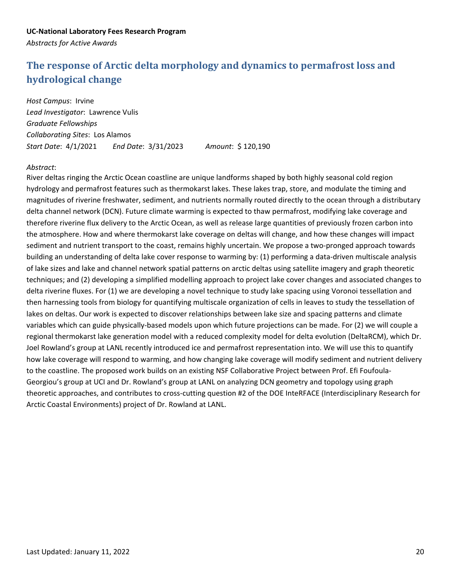# <span id="page-19-0"></span>**The response of Arctic delta morphology and dynamics to permafrost loss and hydrological change**

*Host Campus*: Irvine *Lead Investigator*: Lawrence Vulis *Graduate Fellowships Collaborating Sites*: Los Alamos *Start Date*: 4/1/2021 *End Date*: 3/31/2023 *Amount*: \$ 120,190

#### *Abstract*:

River deltas ringing the Arctic Ocean coastline are unique landforms shaped by both highly seasonal cold region hydrology and permafrost features such as thermokarst lakes. These lakes trap, store, and modulate the timing and magnitudes of riverine freshwater, sediment, and nutrients normally routed directly to the ocean through a distributary delta channel network (DCN). Future climate warming is expected to thaw permafrost, modifying lake coverage and therefore riverine flux delivery to the Arctic Ocean, as well as release large quantities of previously frozen carbon into the atmosphere. How and where thermokarst lake coverage on deltas will change, and how these changes will impact sediment and nutrient transport to the coast, remains highly uncertain. We propose a two-pronged approach towards building an understanding of delta lake cover response to warming by: (1) performing a data-driven multiscale analysis of lake sizes and lake and channel network spatial patterns on arctic deltas using satellite imagery and graph theoretic techniques; and (2) developing a simplified modelling approach to project lake cover changes and associated changes to delta riverine fluxes. For (1) we are developing a novel technique to study lake spacing using Voronoi tessellation and then harnessing tools from biology for quantifying multiscale organization of cells in leaves to study the tessellation of lakes on deltas. Our work is expected to discover relationships between lake size and spacing patterns and climate variables which can guide physically-based models upon which future projections can be made. For (2) we will couple a regional thermokarst lake generation model with a reduced complexity model for delta evolution (DeltaRCM), which Dr. Joel Rowland's group at LANL recently introduced ice and permafrost representation into. We will use this to quantify how lake coverage will respond to warming, and how changing lake coverage will modify sediment and nutrient delivery to the coastline. The proposed work builds on an existing NSF Collaborative Project between Prof. Efi Foufoula-Georgiou's group at UCI and Dr. Rowland's group at LANL on analyzing DCN geometry and topology using graph theoretic approaches, and contributes to cross-cutting question #2 of the DOE InteRFACE (Interdisciplinary Research for Arctic Coastal Environments) project of Dr. Rowland at LANL.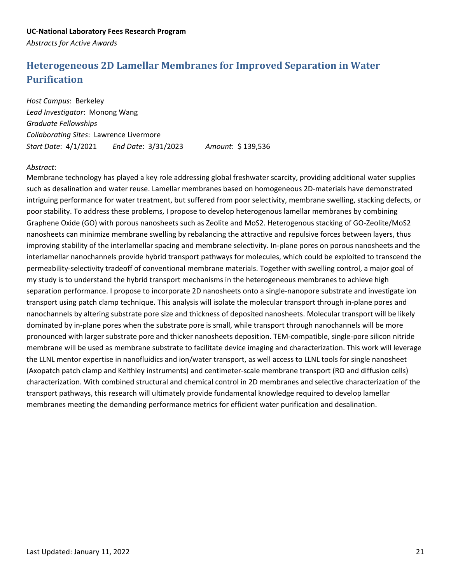# <span id="page-20-0"></span>**Heterogeneous 2D Lamellar Membranes for Improved Separation in Water Purification**

*Host Campus*: Berkeley *Lead Investigator*: Monong Wang *Graduate Fellowships Collaborating Sites*: Lawrence Livermore *Start Date*: 4/1/2021 *End Date*: 3/31/2023 *Amount*: \$ 139,536

#### *Abstract*:

Membrane technology has played a key role addressing global freshwater scarcity, providing additional water supplies such as desalination and water reuse. Lamellar membranes based on homogeneous 2D-materials have demonstrated intriguing performance for water treatment, but suffered from poor selectivity, membrane swelling, stacking defects, or poor stability. To address these problems, I propose to develop heterogenous lamellar membranes by combining Graphene Oxide (GO) with porous nanosheets such as Zeolite and MoS2. Heterogenous stacking of GO-Zeolite/MoS2 nanosheets can minimize membrane swelling by rebalancing the attractive and repulsive forces between layers, thus improving stability of the interlamellar spacing and membrane selectivity. In-plane pores on porous nanosheets and the interlamellar nanochannels provide hybrid transport pathways for molecules, which could be exploited to transcend the permeability-selectivity tradeoff of conventional membrane materials. Together with swelling control, a major goal of my study is to understand the hybrid transport mechanisms in the heterogeneous membranes to achieve high separation performance. I propose to incorporate 2D nanosheets onto a single-nanopore substrate and investigate ion transport using patch clamp technique. This analysis will isolate the molecular transport through in-plane pores and nanochannels by altering substrate pore size and thickness of deposited nanosheets. Molecular transport will be likely dominated by in-plane pores when the substrate pore is small, while transport through nanochannels will be more pronounced with larger substrate pore and thicker nanosheets deposition. TEM-compatible, single-pore silicon nitride membrane will be used as membrane substrate to facilitate device imaging and characterization. This work will leverage the LLNL mentor expertise in nanofluidics and ion/water transport, as well access to LLNL tools for single nanosheet (Axopatch patch clamp and Keithley instruments) and centimeter-scale membrane transport (RO and diffusion cells) characterization. With combined structural and chemical control in 2D membranes and selective characterization of the transport pathways, this research will ultimately provide fundamental knowledge required to develop lamellar membranes meeting the demanding performance metrics for efficient water purification and desalination.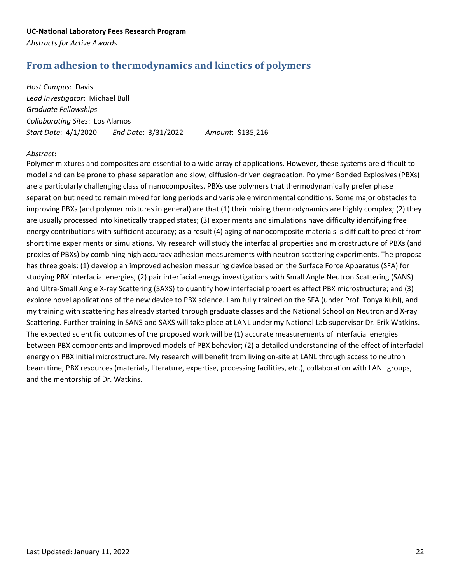# <span id="page-21-0"></span>**From adhesion to thermodynamics and kinetics of polymers**

*Host Campus*: Davis *Lead Investigator*: Michael Bull *Graduate Fellowships Collaborating Sites*: Los Alamos *Start Date*: 4/1/2020 *End Date*: 3/31/2022 *Amount*: \$135,216

### *Abstract*:

Polymer mixtures and composites are essential to a wide array of applications. However, these systems are difficult to model and can be prone to phase separation and slow, diffusion-driven degradation. Polymer Bonded Explosives (PBXs) are a particularly challenging class of nanocomposites. PBXs use polymers that thermodynamically prefer phase separation but need to remain mixed for long periods and variable environmental conditions. Some major obstacles to improving PBXs (and polymer mixtures in general) are that (1) their mixing thermodynamics are highly complex; (2) they are usually processed into kinetically trapped states; (3) experiments and simulations have difficulty identifying free energy contributions with sufficient accuracy; as a result (4) aging of nanocomposite materials is difficult to predict from short time experiments or simulations. My research will study the interfacial properties and microstructure of PBXs (and proxies of PBXs) by combining high accuracy adhesion measurements with neutron scattering experiments. The proposal has three goals: (1) develop an improved adhesion measuring device based on the Surface Force Apparatus (SFA) for studying PBX interfacial energies; (2) pair interfacial energy investigations with Small Angle Neutron Scattering (SANS) and Ultra-Small Angle X-ray Scattering (SAXS) to quantify how interfacial properties affect PBX microstructure; and (3) explore novel applications of the new device to PBX science. I am fully trained on the SFA (under Prof. Tonya Kuhl), and my training with scattering has already started through graduate classes and the National School on Neutron and X-ray Scattering. Further training in SANS and SAXS will take place at LANL under my National Lab supervisor Dr. Erik Watkins. The expected scientific outcomes of the proposed work will be (1) accurate measurements of interfacial energies between PBX components and improved models of PBX behavior; (2) a detailed understanding of the effect of interfacial energy on PBX initial microstructure. My research will benefit from living on-site at LANL through access to neutron beam time, PBX resources (materials, literature, expertise, processing facilities, etc.), collaboration with LANL groups, and the mentorship of Dr. Watkins.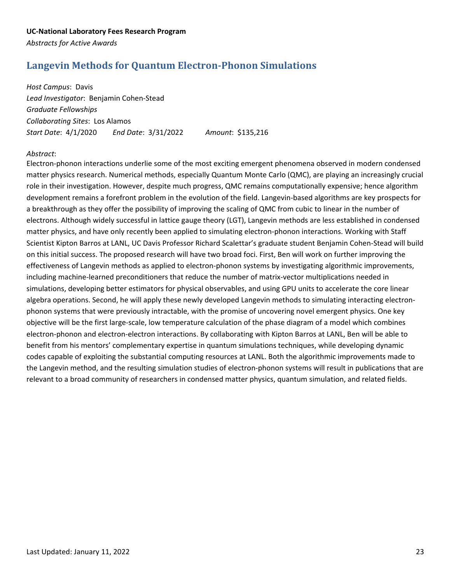## <span id="page-22-0"></span>**Langevin Methods for Quantum Electron-Phonon Simulations**

*Host Campus*: Davis *Lead Investigator*: Benjamin Cohen-Stead *Graduate Fellowships Collaborating Sites*: Los Alamos *Start Date*: 4/1/2020 *End Date*: 3/31/2022 *Amount*: \$135,216

#### *Abstract*:

Electron-phonon interactions underlie some of the most exciting emergent phenomena observed in modern condensed matter physics research. Numerical methods, especially Quantum Monte Carlo (QMC), are playing an increasingly crucial role in their investigation. However, despite much progress, QMC remains computationally expensive; hence algorithm development remains a forefront problem in the evolution of the field. Langevin-based algorithms are key prospects for a breakthrough as they offer the possibility of improving the scaling of QMC from cubic to linear in the number of electrons. Although widely successful in lattice gauge theory (LGT), Langevin methods are less established in condensed matter physics, and have only recently been applied to simulating electron-phonon interactions. Working with Staff Scientist Kipton Barros at LANL, UC Davis Professor Richard Scalettar's graduate student Benjamin Cohen-Stead will build on this initial success. The proposed research will have two broad foci. First, Ben will work on further improving the effectiveness of Langevin methods as applied to electron-phonon systems by investigating algorithmic improvements, including machine-learned preconditioners that reduce the number of matrix-vector multiplications needed in simulations, developing better estimators for physical observables, and using GPU units to accelerate the core linear algebra operations. Second, he will apply these newly developed Langevin methods to simulating interacting electronphonon systems that were previously intractable, with the promise of uncovering novel emergent physics. One key objective will be the first large-scale, low temperature calculation of the phase diagram of a model which combines electron-phonon and electron-electron interactions. By collaborating with Kipton Barros at LANL, Ben will be able to benefit from his mentors' complementary expertise in quantum simulations techniques, while developing dynamic codes capable of exploiting the substantial computing resources at LANL. Both the algorithmic improvements made to the Langevin method, and the resulting simulation studies of electron-phonon systems will result in publications that are relevant to a broad community of researchers in condensed matter physics, quantum simulation, and related fields.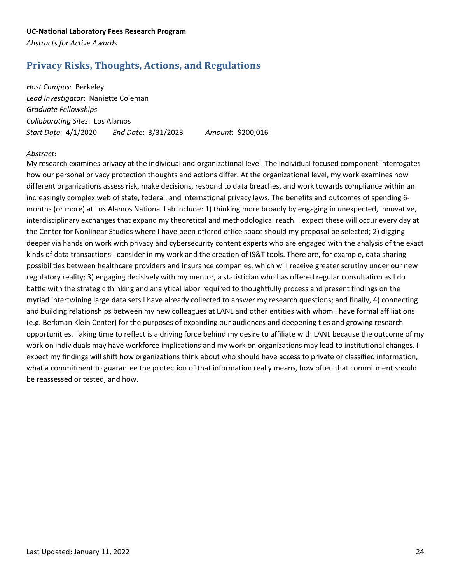# <span id="page-23-0"></span>**Privacy Risks, Thoughts, Actions, and Regulations**

*Host Campus*: Berkeley *Lead Investigator*: Naniette Coleman *Graduate Fellowships Collaborating Sites*: Los Alamos *Start Date*: 4/1/2020 *End Date*: 3/31/2023 *Amount*: \$200,016

### *Abstract*:

My research examines privacy at the individual and organizational level. The individual focused component interrogates how our personal privacy protection thoughts and actions differ. At the organizational level, my work examines how different organizations assess risk, make decisions, respond to data breaches, and work towards compliance within an increasingly complex web of state, federal, and international privacy laws. The benefits and outcomes of spending 6 months (or more) at Los Alamos National Lab include: 1) thinking more broadly by engaging in unexpected, innovative, interdisciplinary exchanges that expand my theoretical and methodological reach. I expect these will occur every day at the Center for Nonlinear Studies where I have been offered office space should my proposal be selected; 2) digging deeper via hands on work with privacy and cybersecurity content experts who are engaged with the analysis of the exact kinds of data transactions I consider in my work and the creation of IS&T tools. There are, for example, data sharing possibilities between healthcare providers and insurance companies, which will receive greater scrutiny under our new regulatory reality; 3) engaging decisively with my mentor, a statistician who has offered regular consultation as I do battle with the strategic thinking and analytical labor required to thoughtfully process and present findings on the myriad intertwining large data sets I have already collected to answer my research questions; and finally, 4) connecting and building relationships between my new colleagues at LANL and other entities with whom I have formal affiliations (e.g. Berkman Klein Center) for the purposes of expanding our audiences and deepening ties and growing research opportunities. Taking time to reflect is a driving force behind my desire to affiliate with LANL because the outcome of my work on individuals may have workforce implications and my work on organizations may lead to institutional changes. I expect my findings will shift how organizations think about who should have access to private or classified information, what a commitment to guarantee the protection of that information really means, how often that commitment should be reassessed or tested, and how.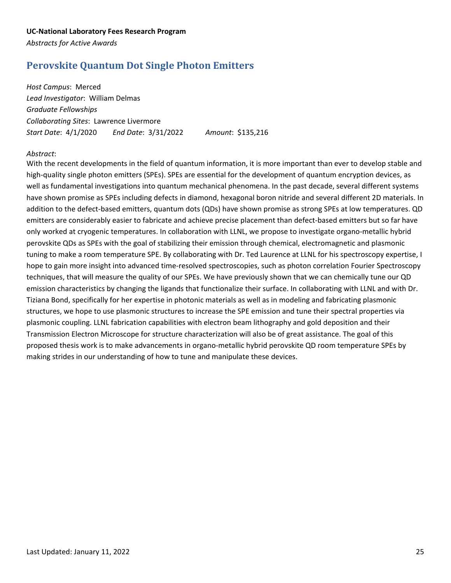# <span id="page-24-0"></span>**Perovskite Quantum Dot Single Photon Emitters**

*Host Campus*: Merced *Lead Investigator*: William Delmas *Graduate Fellowships Collaborating Sites*: Lawrence Livermore *Start Date*: 4/1/2020 *End Date*: 3/31/2022 *Amount*: \$135,216

### *Abstract*:

With the recent developments in the field of quantum information, it is more important than ever to develop stable and high-quality single photon emitters (SPEs). SPEs are essential for the development of quantum encryption devices, as well as fundamental investigations into quantum mechanical phenomena. In the past decade, several different systems have shown promise as SPEs including defects in diamond, hexagonal boron nitride and several different 2D materials. In addition to the defect-based emitters, quantum dots (QDs) have shown promise as strong SPEs at low temperatures. QD emitters are considerably easier to fabricate and achieve precise placement than defect-based emitters but so far have only worked at cryogenic temperatures. In collaboration with LLNL, we propose to investigate organo-metallic hybrid perovskite QDs as SPEs with the goal of stabilizing their emission through chemical, electromagnetic and plasmonic tuning to make a room temperature SPE. By collaborating with Dr. Ted Laurence at LLNL for his spectroscopy expertise, I hope to gain more insight into advanced time-resolved spectroscopies, such as photon correlation Fourier Spectroscopy techniques, that will measure the quality of our SPEs. We have previously shown that we can chemically tune our QD emission characteristics by changing the ligands that functionalize their surface. In collaborating with LLNL and with Dr. Tiziana Bond, specifically for her expertise in photonic materials as well as in modeling and fabricating plasmonic structures, we hope to use plasmonic structures to increase the SPE emission and tune their spectral properties via plasmonic coupling. LLNL fabrication capabilities with electron beam lithography and gold deposition and their Transmission Electron Microscope for structure characterization will also be of great assistance. The goal of this proposed thesis work is to make advancements in organo-metallic hybrid perovskite QD room temperature SPEs by making strides in our understanding of how to tune and manipulate these devices.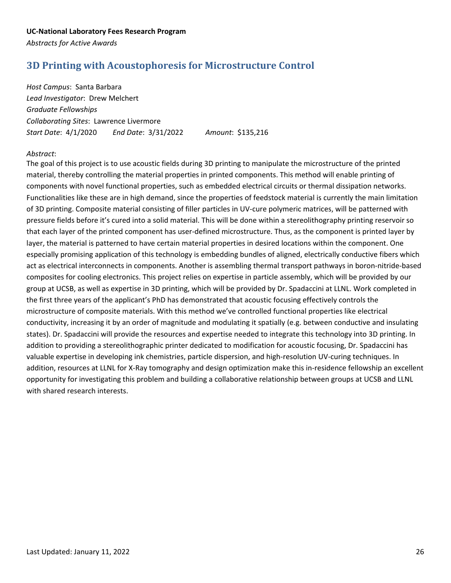# <span id="page-25-0"></span>**3D Printing with Acoustophoresis for Microstructure Control**

*Host Campus*: Santa Barbara *Lead Investigator*: Drew Melchert *Graduate Fellowships Collaborating Sites*: Lawrence Livermore *Start Date*: 4/1/2020 *End Date*: 3/31/2022 *Amount*: \$135,216

### *Abstract*:

The goal of this project is to use acoustic fields during 3D printing to manipulate the microstructure of the printed material, thereby controlling the material properties in printed components. This method will enable printing of components with novel functional properties, such as embedded electrical circuits or thermal dissipation networks. Functionalities like these are in high demand, since the properties of feedstock material is currently the main limitation of 3D printing. Composite material consisting of filler particles in UV-cure polymeric matrices, will be patterned with pressure fields before it's cured into a solid material. This will be done within a stereolithography printing reservoir so that each layer of the printed component has user-defined microstructure. Thus, as the component is printed layer by layer, the material is patterned to have certain material properties in desired locations within the component. One especially promising application of this technology is embedding bundles of aligned, electrically conductive fibers which act as electrical interconnects in components. Another is assembling thermal transport pathways in boron-nitride-based composites for cooling electronics. This project relies on expertise in particle assembly, which will be provided by our group at UCSB, as well as expertise in 3D printing, which will be provided by Dr. Spadaccini at LLNL. Work completed in the first three years of the applicant's PhD has demonstrated that acoustic focusing effectively controls the microstructure of composite materials. With this method we've controlled functional properties like electrical conductivity, increasing it by an order of magnitude and modulating it spatially (e.g. between conductive and insulating states). Dr. Spadaccini will provide the resources and expertise needed to integrate this technology into 3D printing. In addition to providing a stereolithographic printer dedicated to modification for acoustic focusing, Dr. Spadaccini has valuable expertise in developing ink chemistries, particle dispersion, and high-resolution UV-curing techniques. In addition, resources at LLNL for X-Ray tomography and design optimization make this in-residence fellowship an excellent opportunity for investigating this problem and building a collaborative relationship between groups at UCSB and LLNL with shared research interests.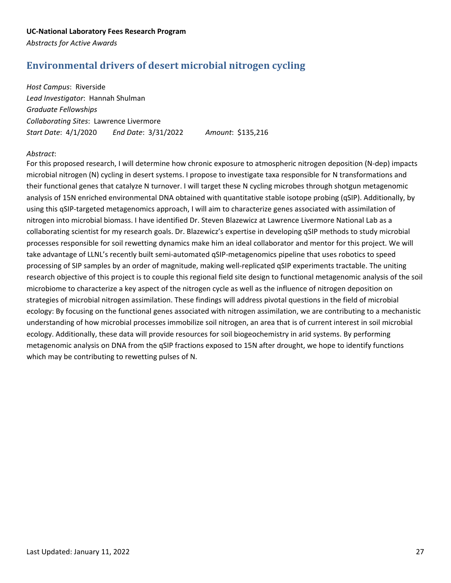# <span id="page-26-0"></span>**Environmental drivers of desert microbial nitrogen cycling**

*Host Campus*: Riverside *Lead Investigator*: Hannah Shulman *Graduate Fellowships Collaborating Sites*: Lawrence Livermore *Start Date*: 4/1/2020 *End Date*: 3/31/2022 *Amount*: \$135,216

### *Abstract*:

For this proposed research, I will determine how chronic exposure to atmospheric nitrogen deposition (N-dep) impacts microbial nitrogen (N) cycling in desert systems. I propose to investigate taxa responsible for N transformations and their functional genes that catalyze N turnover. I will target these N cycling microbes through shotgun metagenomic analysis of 15N enriched environmental DNA obtained with quantitative stable isotope probing (qSIP). Additionally, by using this qSIP-targeted metagenomics approach, I will aim to characterize genes associated with assimilation of nitrogen into microbial biomass. I have identified Dr. Steven Blazewicz at Lawrence Livermore National Lab as a collaborating scientist for my research goals. Dr. Blazewicz's expertise in developing qSIP methods to study microbial processes responsible for soil rewetting dynamics make him an ideal collaborator and mentor for this project. We will take advantage of LLNL's recently built semi-automated qSIP-metagenomics pipeline that uses robotics to speed processing of SIP samples by an order of magnitude, making well-replicated qSIP experiments tractable. The uniting research objective of this project is to couple this regional field site design to functional metagenomic analysis of the soil microbiome to characterize a key aspect of the nitrogen cycle as well as the influence of nitrogen deposition on strategies of microbial nitrogen assimilation. These findings will address pivotal questions in the field of microbial ecology: By focusing on the functional genes associated with nitrogen assimilation, we are contributing to a mechanistic understanding of how microbial processes immobilize soil nitrogen, an area that is of current interest in soil microbial ecology. Additionally, these data will provide resources for soil biogeochemistry in arid systems. By performing metagenomic analysis on DNA from the qSIP fractions exposed to 15N after drought, we hope to identify functions which may be contributing to rewetting pulses of N.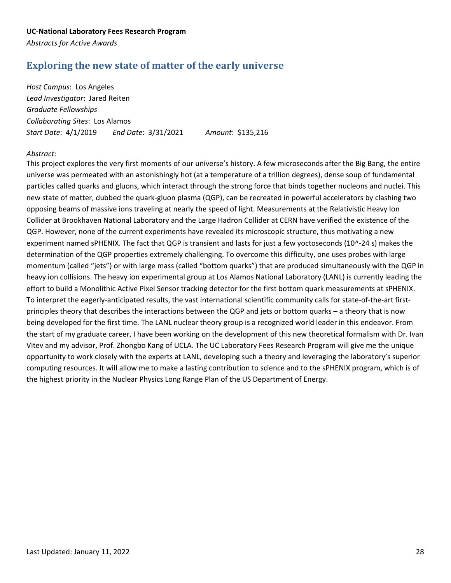## <span id="page-27-0"></span>**Exploring the new state of matter of the early universe**

*Host Campus*: Los Angeles *Lead Investigator*: Jared Reiten *Graduate Fellowships Collaborating Sites*: Los Alamos *Start Date*: 4/1/2019 *End Date*: 3/31/2021 *Amount*: \$135,216

### *Abstract*:

This project explores the very first moments of our universe's history. A few microseconds after the Big Bang, the entire universe was permeated with an astonishingly hot (at a temperature of a trillion degrees), dense soup of fundamental particles called quarks and gluons, which interact through the strong force that binds together nucleons and nuclei. This new state of matter, dubbed the quark-gluon plasma (QGP), can be recreated in powerful accelerators by clashing two opposing beams of massive ions traveling at nearly the speed of light. Measurements at the Relativistic Heavy Ion Collider at Brookhaven National Laboratory and the Large Hadron Collider at CERN have verified the existence of the QGP. However, none of the current experiments have revealed its microscopic structure, thus motivating a new experiment named sPHENIX. The fact that QGP is transient and lasts for just a few yoctoseconds (10^-24 s) makes the determination of the QGP properties extremely challenging. To overcome this difficulty, one uses probes with large momentum (called "jets") or with large mass (called "bottom quarks") that are produced simultaneously with the QGP in heavy ion collisions. The heavy ion experimental group at Los Alamos National Laboratory (LANL) is currently leading the effort to build a Monolithic Active Pixel Sensor tracking detector for the first bottom quark measurements at sPHENIX. To interpret the eagerly-anticipated results, the vast international scientific community calls for state-of-the-art firstprinciples theory that describes the interactions between the QGP and jets or bottom quarks – a theory that is now being developed for the first time. The LANL nuclear theory group is a recognized world leader in this endeavor. From the start of my graduate career, I have been working on the development of this new theoretical formalism with Dr. Ivan Vitev and my advisor, Prof. Zhongbo Kang of UCLA. The UC Laboratory Fees Research Program will give me the unique opportunity to work closely with the experts at LANL, developing such a theory and leveraging the laboratory's superior computing resources. It will allow me to make a lasting contribution to science and to the sPHENIX program, which is of the highest priority in the Nuclear Physics Long Range Plan of the US Department of Energy.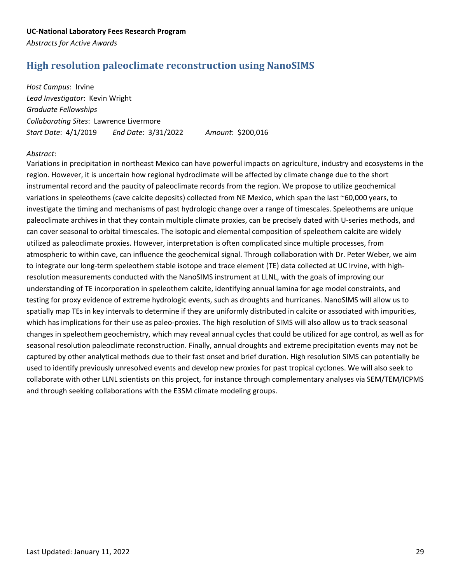### <span id="page-28-0"></span>**High resolution paleoclimate reconstruction using NanoSIMS**

*Host Campus*: Irvine *Lead Investigator*: Kevin Wright *Graduate Fellowships Collaborating Sites*: Lawrence Livermore *Start Date*: 4/1/2019 *End Date*: 3/31/2022 *Amount*: \$200,016

### *Abstract*:

Variations in precipitation in northeast Mexico can have powerful impacts on agriculture, industry and ecosystems in the region. However, it is uncertain how regional hydroclimate will be affected by climate change due to the short instrumental record and the paucity of paleoclimate records from the region. We propose to utilize geochemical variations in speleothems (cave calcite deposits) collected from NE Mexico, which span the last ~60,000 years, to investigate the timing and mechanisms of past hydrologic change over a range of timescales. Speleothems are unique paleoclimate archives in that they contain multiple climate proxies, can be precisely dated with U-series methods, and can cover seasonal to orbital timescales. The isotopic and elemental composition of speleothem calcite are widely utilized as paleoclimate proxies. However, interpretation is often complicated since multiple processes, from atmospheric to within cave, can influence the geochemical signal. Through collaboration with Dr. Peter Weber, we aim to integrate our long-term speleothem stable isotope and trace element (TE) data collected at UC Irvine, with highresolution measurements conducted with the NanoSIMS instrument at LLNL, with the goals of improving our understanding of TE incorporation in speleothem calcite, identifying annual lamina for age model constraints, and testing for proxy evidence of extreme hydrologic events, such as droughts and hurricanes. NanoSIMS will allow us to spatially map TEs in key intervals to determine if they are uniformly distributed in calcite or associated with impurities, which has implications for their use as paleo-proxies. The high resolution of SIMS will also allow us to track seasonal changes in speleothem geochemistry, which may reveal annual cycles that could be utilized for age control, as well as for seasonal resolution paleoclimate reconstruction. Finally, annual droughts and extreme precipitation events may not be captured by other analytical methods due to their fast onset and brief duration. High resolution SIMS can potentially be used to identify previously unresolved events and develop new proxies for past tropical cyclones. We will also seek to collaborate with other LLNL scientists on this project, for instance through complementary analyses via SEM/TEM/ICPMS and through seeking collaborations with the E3SM climate modeling groups.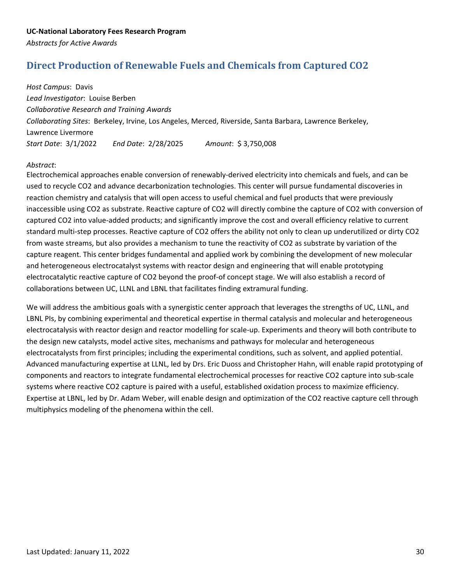## <span id="page-29-0"></span>**Direct Production of Renewable Fuels and Chemicals from Captured CO2**

*Host Campus*: Davis *Lead Investigator*: Louise Berben *Collaborative Research and Training Awards Collaborating Sites*: Berkeley, Irvine, Los Angeles, Merced, Riverside, Santa Barbara, Lawrence Berkeley, Lawrence Livermore *Start Date*: 3/1/2022 *End Date*: 2/28/2025 *Amount*: \$ 3,750,008

### *Abstract*:

Electrochemical approaches enable conversion of renewably-derived electricity into chemicals and fuels, and can be used to recycle CO2 and advance decarbonization technologies. This center will pursue fundamental discoveries in reaction chemistry and catalysis that will open access to useful chemical and fuel products that were previously inaccessible using CO2 as substrate. Reactive capture of CO2 will directly combine the capture of CO2 with conversion of captured CO2 into value-added products; and significantly improve the cost and overall efficiency relative to current standard multi-step processes. Reactive capture of CO2 offers the ability not only to clean up underutilized or dirty CO2 from waste streams, but also provides a mechanism to tune the reactivity of CO2 as substrate by variation of the capture reagent. This center bridges fundamental and applied work by combining the development of new molecular and heterogeneous electrocatalyst systems with reactor design and engineering that will enable prototyping electrocatalytic reactive capture of CO2 beyond the proof-of concept stage. We will also establish a record of collaborations between UC, LLNL and LBNL that facilitates finding extramural funding.

We will address the ambitious goals with a synergistic center approach that leverages the strengths of UC, LLNL, and LBNL PIs, by combining experimental and theoretical expertise in thermal catalysis and molecular and heterogeneous electrocatalysis with reactor design and reactor modelling for scale-up. Experiments and theory will both contribute to the design new catalysts, model active sites, mechanisms and pathways for molecular and heterogeneous electrocatalysts from first principles; including the experimental conditions, such as solvent, and applied potential. Advanced manufacturing expertise at LLNL, led by Drs. Eric Duoss and Christopher Hahn, will enable rapid prototyping of components and reactors to integrate fundamental electrochemical processes for reactive CO2 capture into sub-scale systems where reactive CO2 capture is paired with a useful, established oxidation process to maximize efficiency. Expertise at LBNL, led by Dr. Adam Weber, will enable design and optimization of the CO2 reactive capture cell through multiphysics modeling of the phenomena within the cell.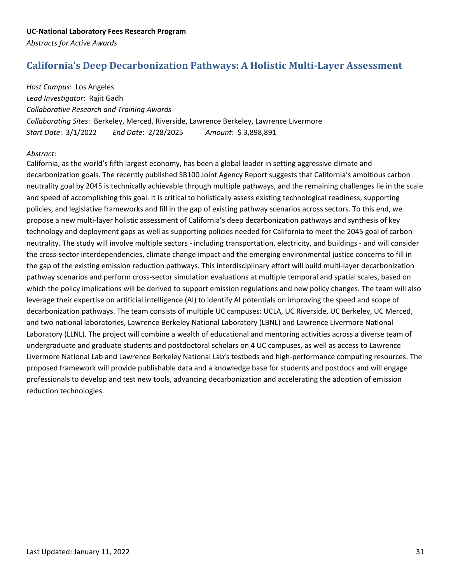### <span id="page-30-0"></span>**California's Deep Decarbonization Pathways: A Holistic Multi-Layer Assessment**

*Host Campus*: Los Angeles *Lead Investigator*: Rajit Gadh *Collaborative Research and Training Awards Collaborating Sites*: Berkeley, Merced, Riverside, Lawrence Berkeley, Lawrence Livermore *Start Date*: 3/1/2022 *End Date*: 2/28/2025 *Amount*: \$ 3,898,891

### *Abstract*:

California, as the world's fifth largest economy, has been a global leader in setting aggressive climate and decarbonization goals. The recently published SB100 Joint Agency Report suggests that California's ambitious carbon neutrality goal by 2045 is technically achievable through multiple pathways, and the remaining challenges lie in the scale and speed of accomplishing this goal. It is critical to holistically assess existing technological readiness, supporting policies, and legislative frameworks and fill in the gap of existing pathway scenarios across sectors. To this end, we propose a new multi-layer holistic assessment of California's deep decarbonization pathways and synthesis of key technology and deployment gaps as well as supporting policies needed for California to meet the 2045 goal of carbon neutrality. The study will involve multiple sectors - including transportation, electricity, and buildings - and will consider the cross-sector interdependencies, climate change impact and the emerging environmental justice concerns to fill in the gap of the existing emission reduction pathways. This interdisciplinary effort will build multi-layer decarbonization pathway scenarios and perform cross-sector simulation evaluations at multiple temporal and spatial scales, based on which the policy implications will be derived to support emission regulations and new policy changes. The team will also leverage their expertise on artificial intelligence (AI) to identify AI potentials on improving the speed and scope of decarbonization pathways. The team consists of multiple UC campuses: UCLA, UC Riverside, UC Berkeley, UC Merced, and two national laboratories, Lawrence Berkeley National Laboratory (LBNL) and Lawrence Livermore National Laboratory (LLNL). The project will combine a wealth of educational and mentoring activities across a diverse team of undergraduate and graduate students and postdoctoral scholars on 4 UC campuses, as well as access to Lawrence Livermore National Lab and Lawrence Berkeley National Lab's testbeds and high-performance computing resources. The proposed framework will provide publishable data and a knowledge base for students and postdocs and will engage professionals to develop and test new tools, advancing decarbonization and accelerating the adoption of emission reduction technologies.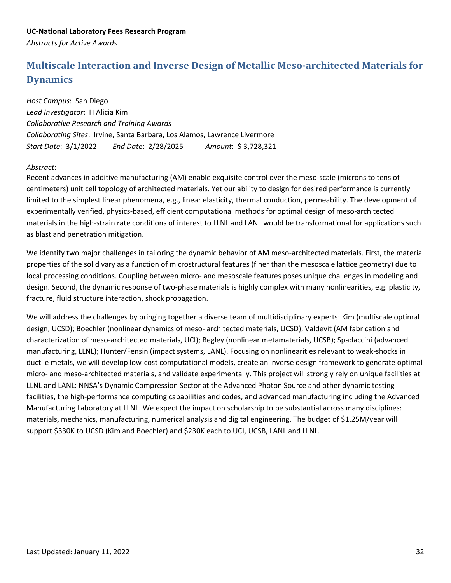# <span id="page-31-0"></span>**Multiscale Interaction and Inverse Design of Metallic Meso-architected Materials for Dynamics**

*Host Campus*: San Diego *Lead Investigator*: H Alicia Kim *Collaborative Research and Training Awards Collaborating Sites*: Irvine, Santa Barbara, Los Alamos, Lawrence Livermore *Start Date*: 3/1/2022 *End Date*: 2/28/2025 *Amount*: \$ 3,728,321

#### *Abstract*:

Recent advances in additive manufacturing (AM) enable exquisite control over the meso-scale (microns to tens of centimeters) unit cell topology of architected materials. Yet our ability to design for desired performance is currently limited to the simplest linear phenomena, e.g., linear elasticity, thermal conduction, permeability. The development of experimentally verified, physics-based, efficient computational methods for optimal design of meso-architected materials in the high-strain rate conditions of interest to LLNL and LANL would be transformational for applications such as blast and penetration mitigation.

We identify two major challenges in tailoring the dynamic behavior of AM meso-architected materials. First, the material properties of the solid vary as a function of microstructural features (finer than the mesoscale lattice geometry) due to local processing conditions. Coupling between micro- and mesoscale features poses unique challenges in modeling and design. Second, the dynamic response of two-phase materials is highly complex with many nonlinearities, e.g. plasticity, fracture, fluid structure interaction, shock propagation.

We will address the challenges by bringing together a diverse team of multidisciplinary experts: Kim (multiscale optimal design, UCSD); Boechler (nonlinear dynamics of meso- architected materials, UCSD), Valdevit (AM fabrication and characterization of meso-architected materials, UCI); Begley (nonlinear metamaterials, UCSB); Spadaccini (advanced manufacturing, LLNL); Hunter/Fensin (impact systems, LANL). Focusing on nonlinearities relevant to weak-shocks in ductile metals, we will develop low-cost computational models, create an inverse design framework to generate optimal micro- and meso-architected materials, and validate experimentally. This project will strongly rely on unique facilities at LLNL and LANL: NNSA's Dynamic Compression Sector at the Advanced Photon Source and other dynamic testing facilities, the high-performance computing capabilities and codes, and advanced manufacturing including the Advanced Manufacturing Laboratory at LLNL. We expect the impact on scholarship to be substantial across many disciplines: materials, mechanics, manufacturing, numerical analysis and digital engineering. The budget of \$1.25M/year will support \$330K to UCSD (Kim and Boechler) and \$230K each to UCI, UCSB, LANL and LLNL.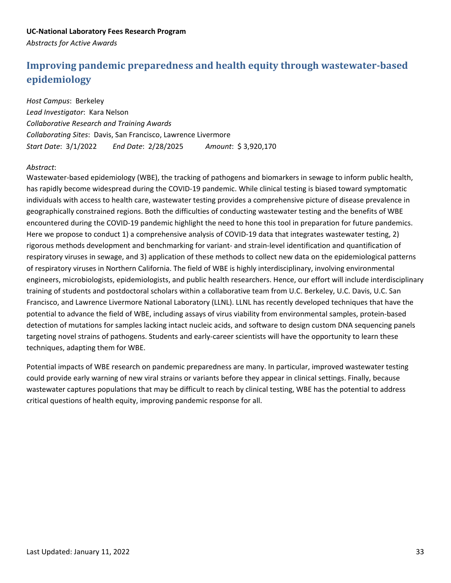# <span id="page-32-0"></span>**Improving pandemic preparedness and health equity through wastewater-based epidemiology**

*Host Campus*: Berkeley

*Lead Investigator*: Kara Nelson *Collaborative Research and Training Awards Collaborating Sites*: Davis, San Francisco, Lawrence Livermore *Start Date*: 3/1/2022 *End Date*: 2/28/2025 *Amount*: \$ 3,920,170

#### *Abstract*:

Wastewater-based epidemiology (WBE), the tracking of pathogens and biomarkers in sewage to inform public health, has rapidly become widespread during the COVID-19 pandemic. While clinical testing is biased toward symptomatic individuals with access to health care, wastewater testing provides a comprehensive picture of disease prevalence in geographically constrained regions. Both the difficulties of conducting wastewater testing and the benefits of WBE encountered during the COVID-19 pandemic highlight the need to hone this tool in preparation for future pandemics. Here we propose to conduct 1) a comprehensive analysis of COVID-19 data that integrates wastewater testing, 2) rigorous methods development and benchmarking for variant- and strain-level identification and quantification of respiratory viruses in sewage, and 3) application of these methods to collect new data on the epidemiological patterns of respiratory viruses in Northern California. The field of WBE is highly interdisciplinary, involving environmental engineers, microbiologists, epidemiologists, and public health researchers. Hence, our effort will include interdisciplinary training of students and postdoctoral scholars within a collaborative team from U.C. Berkeley, U.C. Davis, U.C. San Francisco, and Lawrence Livermore National Laboratory (LLNL). LLNL has recently developed techniques that have the potential to advance the field of WBE, including assays of virus viability from environmental samples, protein-based detection of mutations for samples lacking intact nucleic acids, and software to design custom DNA sequencing panels targeting novel strains of pathogens. Students and early-career scientists will have the opportunity to learn these techniques, adapting them for WBE.

Potential impacts of WBE research on pandemic preparedness are many. In particular, improved wastewater testing could provide early warning of new viral strains or variants before they appear in clinical settings. Finally, because wastewater captures populations that may be difficult to reach by clinical testing, WBE has the potential to address critical questions of health equity, improving pandemic response for all.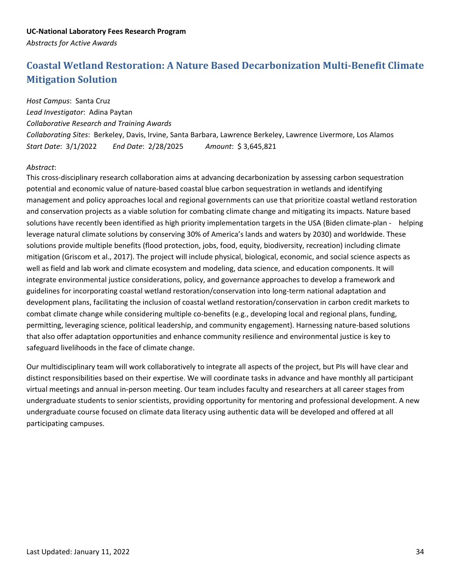# <span id="page-33-0"></span>**Coastal Wetland Restoration: A Nature Based Decarbonization Multi-Benefit Climate Mitigation Solution**

#### *Host Campus*: Santa Cruz

*Lead Investigator*: Adina Paytan *Collaborative Research and Training Awards Collaborating Sites*: Berkeley, Davis, Irvine, Santa Barbara, Lawrence Berkeley, Lawrence Livermore, Los Alamos *Start Date*: 3/1/2022 *End Date*: 2/28/2025 *Amount*: \$ 3,645,821

### *Abstract*:

This cross-disciplinary research collaboration aims at advancing decarbonization by assessing carbon sequestration potential and economic value of nature-based coastal blue carbon sequestration in wetlands and identifying management and policy approaches local and regional governments can use that prioritize coastal wetland restoration and conservation projects as a viable solution for combating climate change and mitigating its impacts. Nature based solutions have recently been identified as high priority implementation targets in the USA (Biden climate-plan - helping leverage natural climate solutions by conserving 30% of America's lands and waters by 2030) and worldwide. These solutions provide multiple benefits (flood protection, jobs, food, equity, biodiversity, recreation) including climate mitigation (Griscom et al., 2017). The project will include physical, biological, economic, and social science aspects as well as field and lab work and climate ecosystem and modeling, data science, and education components. It will integrate environmental justice considerations, policy, and governance approaches to develop a framework and guidelines for incorporating coastal wetland restoration/conservation into long-term national adaptation and development plans, facilitating the inclusion of coastal wetland restoration/conservation in carbon credit markets to combat climate change while considering multiple co-benefits (e.g., developing local and regional plans, funding, permitting, leveraging science, political leadership, and community engagement). Harnessing nature-based solutions that also offer adaptation opportunities and enhance community resilience and environmental justice is key to safeguard livelihoods in the face of climate change.

Our multidisciplinary team will work collaboratively to integrate all aspects of the project, but PIs will have clear and distinct responsibilities based on their expertise. We will coordinate tasks in advance and have monthly all participant virtual meetings and annual in-person meeting. Our team includes faculty and researchers at all career stages from undergraduate students to senior scientists, providing opportunity for mentoring and professional development. A new undergraduate course focused on climate data literacy using authentic data will be developed and offered at all participating campuses.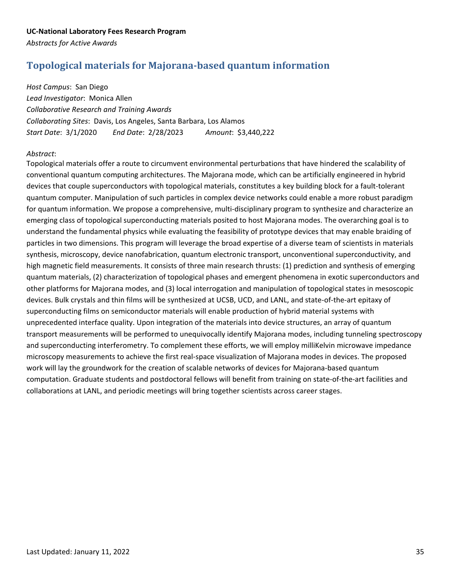# <span id="page-34-0"></span>**Topological materials for Majorana-based quantum information**

*Host Campus*: San Diego *Lead Investigator*: Monica Allen *Collaborative Research and Training Awards Collaborating Sites*: Davis, Los Angeles, Santa Barbara, Los Alamos *Start Date*: 3/1/2020 *End Date*: 2/28/2023 *Amount*: \$3,440,222

### *Abstract*:

Topological materials offer a route to circumvent environmental perturbations that have hindered the scalability of conventional quantum computing architectures. The Majorana mode, which can be artificially engineered in hybrid devices that couple superconductors with topological materials, constitutes a key building block for a fault-tolerant quantum computer. Manipulation of such particles in complex device networks could enable a more robust paradigm for quantum information. We propose a comprehensive, multi-disciplinary program to synthesize and characterize an emerging class of topological superconducting materials posited to host Majorana modes. The overarching goal is to understand the fundamental physics while evaluating the feasibility of prototype devices that may enable braiding of particles in two dimensions. This program will leverage the broad expertise of a diverse team of scientists in materials synthesis, microscopy, device nanofabrication, quantum electronic transport, unconventional superconductivity, and high magnetic field measurements. It consists of three main research thrusts: (1) prediction and synthesis of emerging quantum materials, (2) characterization of topological phases and emergent phenomena in exotic superconductors and other platforms for Majorana modes, and (3) local interrogation and manipulation of topological states in mesoscopic devices. Bulk crystals and thin films will be synthesized at UCSB, UCD, and LANL, and state-of-the-art epitaxy of superconducting films on semiconductor materials will enable production of hybrid material systems with unprecedented interface quality. Upon integration of the materials into device structures, an array of quantum transport measurements will be performed to unequivocally identify Majorana modes, including tunneling spectroscopy and superconducting interferometry. To complement these efforts, we will employ milliKelvin microwave impedance microscopy measurements to achieve the first real-space visualization of Majorana modes in devices. The proposed work will lay the groundwork for the creation of scalable networks of devices for Majorana-based quantum computation. Graduate students and postdoctoral fellows will benefit from training on state-of-the-art facilities and collaborations at LANL, and periodic meetings will bring together scientists across career stages.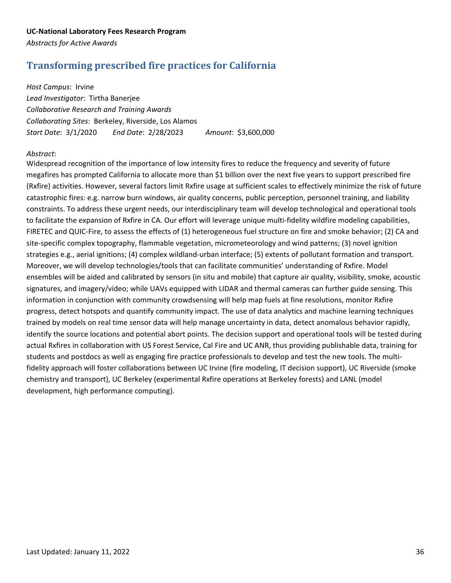# <span id="page-35-0"></span>**Transforming prescribed fire practices for California**

*Host Campus*: Irvine *Lead Investigator*: Tirtha Banerjee *Collaborative Research and Training Awards Collaborating Sites*: Berkeley, Riverside, Los Alamos *Start Date*: 3/1/2020 *End Date*: 2/28/2023 *Amount*: \$3,600,000

### *Abstract*:

Widespread recognition of the importance of low intensity fires to reduce the frequency and severity of future megafires has prompted California to allocate more than \$1 billion over the next five years to support prescribed fire (Rxfire) activities. However, several factors limit Rxfire usage at sufficient scales to effectively minimize the risk of future catastrophic fires: e.g. narrow burn windows, air quality concerns, public perception, personnel training, and liability constraints. To address these urgent needs, our interdisciplinary team will develop technological and operational tools to facilitate the expansion of Rxfire in CA. Our effort will leverage unique multi-fidelity wildfire modeling capabilities, FIRETEC and QUIC-Fire, to assess the effects of (1) heterogeneous fuel structure on fire and smoke behavior; (2) CA and site-specific complex topography, flammable vegetation, micrometeorology and wind patterns; (3) novel ignition strategies e.g., aerial ignitions; (4) complex wildland-urban interface; (5) extents of pollutant formation and transport. Moreover, we will develop technologies/tools that can facilitate communities' understanding of Rxfire. Model ensembles will be aided and calibrated by sensors (in situ and mobile) that capture air quality, visibility, smoke, acoustic signatures, and imagery/video; while UAVs equipped with LIDAR and thermal cameras can further guide sensing. This information in conjunction with community crowdsensing will help map fuels at fine resolutions, monitor Rxfire progress, detect hotspots and quantify community impact. The use of data analytics and machine learning techniques trained by models on real time sensor data will help manage uncertainty in data, detect anomalous behavior rapidly, identify the source locations and potential abort points. The decision support and operational tools will be tested during actual Rxfires in collaboration with US Forest Service, Cal Fire and UC ANR, thus providing publishable data, training for students and postdocs as well as engaging fire practice professionals to develop and test the new tools. The multifidelity approach will foster collaborations between UC Irvine (fire modeling, IT decision support), UC Riverside (smoke chemistry and transport), UC Berkeley (experimental Rxfire operations at Berkeley forests) and LANL (model development, high performance computing).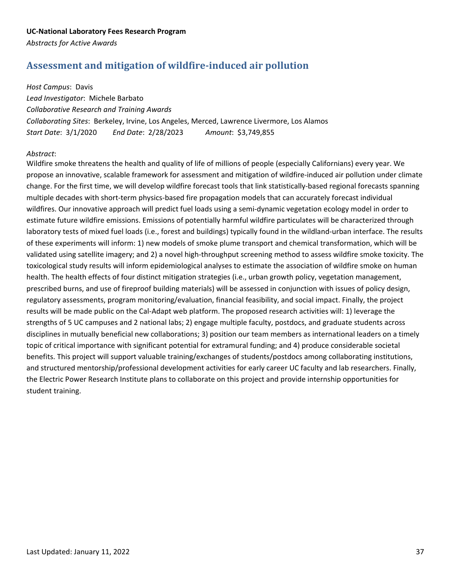# <span id="page-36-0"></span>**Assessment and mitigation of wildfire-induced air pollution**

*Host Campus*: Davis

*Lead Investigator*: Michele Barbato *Collaborative Research and Training Awards Collaborating Sites*: Berkeley, Irvine, Los Angeles, Merced, Lawrence Livermore, Los Alamos *Start Date*: 3/1/2020 *End Date*: 2/28/2023 *Amount*: \$3,749,855

### *Abstract*:

Wildfire smoke threatens the health and quality of life of millions of people (especially Californians) every year. We propose an innovative, scalable framework for assessment and mitigation of wildfire-induced air pollution under climate change. For the first time, we will develop wildfire forecast tools that link statistically-based regional forecasts spanning multiple decades with short-term physics-based fire propagation models that can accurately forecast individual wildfires. Our innovative approach will predict fuel loads using a semi-dynamic vegetation ecology model in order to estimate future wildfire emissions. Emissions of potentially harmful wildfire particulates will be characterized through laboratory tests of mixed fuel loads (i.e., forest and buildings) typically found in the wildland-urban interface. The results of these experiments will inform: 1) new models of smoke plume transport and chemical transformation, which will be validated using satellite imagery; and 2) a novel high-throughput screening method to assess wildfire smoke toxicity. The toxicological study results will inform epidemiological analyses to estimate the association of wildfire smoke on human health. The health effects of four distinct mitigation strategies (i.e., urban growth policy, vegetation management, prescribed burns, and use of fireproof building materials) will be assessed in conjunction with issues of policy design, regulatory assessments, program monitoring/evaluation, financial feasibility, and social impact. Finally, the project results will be made public on the Cal-Adapt web platform. The proposed research activities will: 1) leverage the strengths of 5 UC campuses and 2 national labs; 2) engage multiple faculty, postdocs, and graduate students across disciplines in mutually beneficial new collaborations; 3) position our team members as international leaders on a timely topic of critical importance with significant potential for extramural funding; and 4) produce considerable societal benefits. This project will support valuable training/exchanges of students/postdocs among collaborating institutions, and structured mentorship/professional development activities for early career UC faculty and lab researchers. Finally, the Electric Power Research Institute plans to collaborate on this project and provide internship opportunities for student training.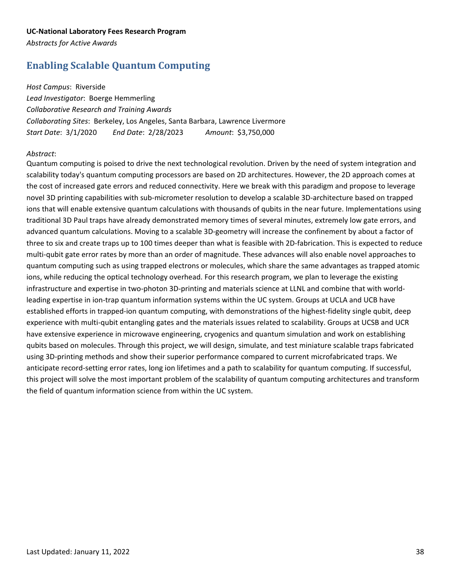# <span id="page-37-0"></span>**Enabling Scalable Quantum Computing**

*Host Campus*: Riverside *Lead Investigator*: Boerge Hemmerling *Collaborative Research and Training Awards Collaborating Sites*: Berkeley, Los Angeles, Santa Barbara, Lawrence Livermore *Start Date*: 3/1/2020 *End Date*: 2/28/2023 *Amount*: \$3,750,000

### *Abstract*:

Quantum computing is poised to drive the next technological revolution. Driven by the need of system integration and scalability today's quantum computing processors are based on 2D architectures. However, the 2D approach comes at the cost of increased gate errors and reduced connectivity. Here we break with this paradigm and propose to leverage novel 3D printing capabilities with sub-micrometer resolution to develop a scalable 3D-architecture based on trapped ions that will enable extensive quantum calculations with thousands of qubits in the near future. Implementations using traditional 3D Paul traps have already demonstrated memory times of several minutes, extremely low gate errors, and advanced quantum calculations. Moving to a scalable 3D-geometry will increase the confinement by about a factor of three to six and create traps up to 100 times deeper than what is feasible with 2D-fabrication. This is expected to reduce multi-qubit gate error rates by more than an order of magnitude. These advances will also enable novel approaches to quantum computing such as using trapped electrons or molecules, which share the same advantages as trapped atomic ions, while reducing the optical technology overhead. For this research program, we plan to leverage the existing infrastructure and expertise in two-photon 3D-printing and materials science at LLNL and combine that with worldleading expertise in ion-trap quantum information systems within the UC system. Groups at UCLA and UCB have established efforts in trapped-ion quantum computing, with demonstrations of the highest-fidelity single qubit, deep experience with multi-qubit entangling gates and the materials issues related to scalability. Groups at UCSB and UCR have extensive experience in microwave engineering, cryogenics and quantum simulation and work on establishing qubits based on molecules. Through this project, we will design, simulate, and test miniature scalable traps fabricated using 3D-printing methods and show their superior performance compared to current microfabricated traps. We anticipate record-setting error rates, long ion lifetimes and a path to scalability for quantum computing. If successful, this project will solve the most important problem of the scalability of quantum computing architectures and transform the field of quantum information science from within the UC system.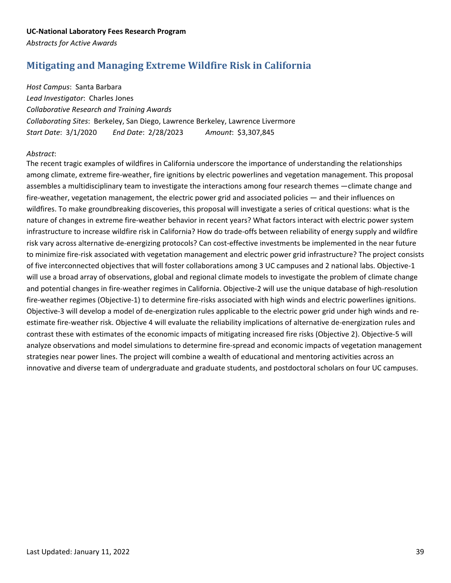## <span id="page-38-0"></span>**Mitigating and Managing Extreme Wildfire Risk in California**

*Host Campus*: Santa Barbara *Lead Investigator*: Charles Jones *Collaborative Research and Training Awards Collaborating Sites*: Berkeley, San Diego, Lawrence Berkeley, Lawrence Livermore *Start Date*: 3/1/2020 *End Date*: 2/28/2023 *Amount*: \$3,307,845

#### *Abstract*:

The recent tragic examples of wildfires in California underscore the importance of understanding the relationships among climate, extreme fire-weather, fire ignitions by electric powerlines and vegetation management. This proposal assembles a multidisciplinary team to investigate the interactions among four research themes —climate change and fire-weather, vegetation management, the electric power grid and associated policies — and their influences on wildfires. To make groundbreaking discoveries, this proposal will investigate a series of critical questions: what is the nature of changes in extreme fire-weather behavior in recent years? What factors interact with electric power system infrastructure to increase wildfire risk in California? How do trade-offs between reliability of energy supply and wildfire risk vary across alternative de-energizing protocols? Can cost-effective investments be implemented in the near future to minimize fire-risk associated with vegetation management and electric power grid infrastructure? The project consists of five interconnected objectives that will foster collaborations among 3 UC campuses and 2 national labs. Objective-1 will use a broad array of observations, global and regional climate models to investigate the problem of climate change and potential changes in fire-weather regimes in California. Objective-2 will use the unique database of high-resolution fire-weather regimes (Objective-1) to determine fire-risks associated with high winds and electric powerlines ignitions. Objective-3 will develop a model of de-energization rules applicable to the electric power grid under high winds and reestimate fire-weather risk. Objective 4 will evaluate the reliability implications of alternative de-energization rules and contrast these with estimates of the economic impacts of mitigating increased fire risks (Objective 2). Objective-5 will analyze observations and model simulations to determine fire-spread and economic impacts of vegetation management strategies near power lines. The project will combine a wealth of educational and mentoring activities across an innovative and diverse team of undergraduate and graduate students, and postdoctoral scholars on four UC campuses.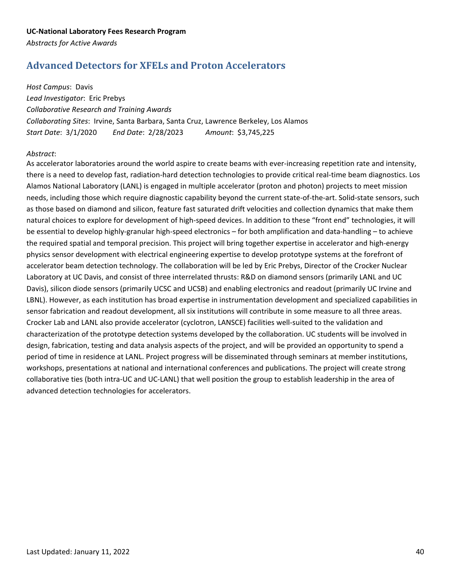## <span id="page-39-0"></span>**Advanced Detectors for XFELs and Proton Accelerators**

*Host Campus*: Davis *Lead Investigator*: Eric Prebys *Collaborative Research and Training Awards Collaborating Sites*: Irvine, Santa Barbara, Santa Cruz, Lawrence Berkeley, Los Alamos *Start Date*: 3/1/2020 *End Date*: 2/28/2023 *Amount*: \$3,745,225

#### *Abstract*:

As accelerator laboratories around the world aspire to create beams with ever-increasing repetition rate and intensity, there is a need to develop fast, radiation-hard detection technologies to provide critical real-time beam diagnostics. Los Alamos National Laboratory (LANL) is engaged in multiple accelerator (proton and photon) projects to meet mission needs, including those which require diagnostic capability beyond the current state-of-the-art. Solid-state sensors, such as those based on diamond and silicon, feature fast saturated drift velocities and collection dynamics that make them natural choices to explore for development of high-speed devices. In addition to these "front end" technologies, it will be essential to develop highly-granular high-speed electronics – for both amplification and data-handling – to achieve the required spatial and temporal precision. This project will bring together expertise in accelerator and high-energy physics sensor development with electrical engineering expertise to develop prototype systems at the forefront of accelerator beam detection technology. The collaboration will be led by Eric Prebys, Director of the Crocker Nuclear Laboratory at UC Davis, and consist of three interrelated thrusts: R&D on diamond sensors (primarily LANL and UC Davis), silicon diode sensors (primarily UCSC and UCSB) and enabling electronics and readout (primarily UC Irvine and LBNL). However, as each institution has broad expertise in instrumentation development and specialized capabilities in sensor fabrication and readout development, all six institutions will contribute in some measure to all three areas. Crocker Lab and LANL also provide accelerator (cyclotron, LANSCE) facilities well-suited to the validation and characterization of the prototype detection systems developed by the collaboration. UC students will be involved in design, fabrication, testing and data analysis aspects of the project, and will be provided an opportunity to spend a period of time in residence at LANL. Project progress will be disseminated through seminars at member institutions, workshops, presentations at national and international conferences and publications. The project will create strong collaborative ties (both intra-UC and UC-LANL) that well position the group to establish leadership in the area of advanced detection technologies for accelerators.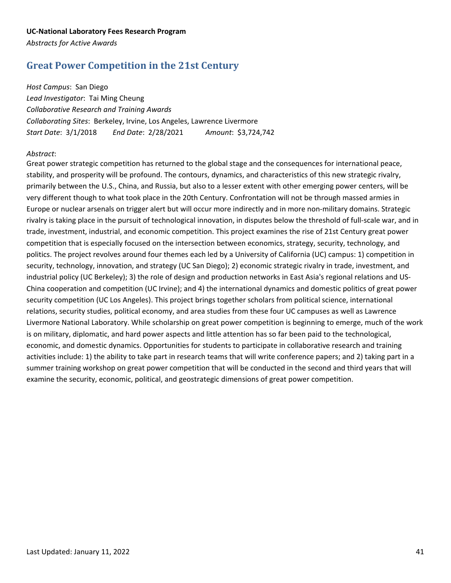# <span id="page-40-0"></span>**Great Power Competition in the 21st Century**

*Host Campus*: San Diego *Lead Investigator*: Tai Ming Cheung *Collaborative Research and Training Awards Collaborating Sites*: Berkeley, Irvine, Los Angeles, Lawrence Livermore *Start Date*: 3/1/2018 *End Date*: 2/28/2021 *Amount*: \$3,724,742

### *Abstract*:

Great power strategic competition has returned to the global stage and the consequences for international peace, stability, and prosperity will be profound. The contours, dynamics, and characteristics of this new strategic rivalry, primarily between the U.S., China, and Russia, but also to a lesser extent with other emerging power centers, will be very different though to what took place in the 20th Century. Confrontation will not be through massed armies in Europe or nuclear arsenals on trigger alert but will occur more indirectly and in more non-military domains. Strategic rivalry is taking place in the pursuit of technological innovation, in disputes below the threshold of full-scale war, and in trade, investment, industrial, and economic competition. This project examines the rise of 21st Century great power competition that is especially focused on the intersection between economics, strategy, security, technology, and politics. The project revolves around four themes each led by a University of California (UC) campus: 1) competition in security, technology, innovation, and strategy (UC San Diego); 2) economic strategic rivalry in trade, investment, and industrial policy (UC Berkeley); 3) the role of design and production networks in East Asia's regional relations and US-China cooperation and competition (UC Irvine); and 4) the international dynamics and domestic politics of great power security competition (UC Los Angeles). This project brings together scholars from political science, international relations, security studies, political economy, and area studies from these four UC campuses as well as Lawrence Livermore National Laboratory. While scholarship on great power competition is beginning to emerge, much of the work is on military, diplomatic, and hard power aspects and little attention has so far been paid to the technological, economic, and domestic dynamics. Opportunities for students to participate in collaborative research and training activities include: 1) the ability to take part in research teams that will write conference papers; and 2) taking part in a summer training workshop on great power competition that will be conducted in the second and third years that will examine the security, economic, political, and geostrategic dimensions of great power competition.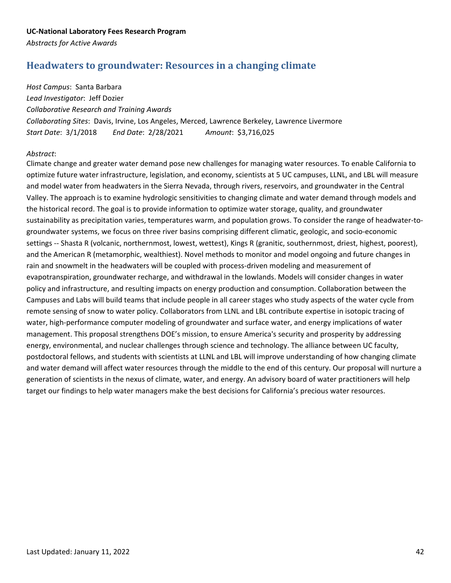### <span id="page-41-0"></span>**Headwaters to groundwater: Resources in a changing climate**

*Host Campus*: Santa Barbara *Lead Investigator*: Jeff Dozier *Collaborative Research and Training Awards Collaborating Sites*: Davis, Irvine, Los Angeles, Merced, Lawrence Berkeley, Lawrence Livermore *Start Date*: 3/1/2018 *End Date*: 2/28/2021 *Amount*: \$3,716,025

### *Abstract*:

Climate change and greater water demand pose new challenges for managing water resources. To enable California to optimize future water infrastructure, legislation, and economy, scientists at 5 UC campuses, LLNL, and LBL will measure and model water from headwaters in the Sierra Nevada, through rivers, reservoirs, and groundwater in the Central Valley. The approach is to examine hydrologic sensitivities to changing climate and water demand through models and the historical record. The goal is to provide information to optimize water storage, quality, and groundwater sustainability as precipitation varies, temperatures warm, and population grows. To consider the range of headwater-togroundwater systems, we focus on three river basins comprising different climatic, geologic, and socio-economic settings -- Shasta R (volcanic, northernmost, lowest, wettest), Kings R (granitic, southernmost, driest, highest, poorest), and the American R (metamorphic, wealthiest). Novel methods to monitor and model ongoing and future changes in rain and snowmelt in the headwaters will be coupled with process-driven modeling and measurement of evapotranspiration, groundwater recharge, and withdrawal in the lowlands. Models will consider changes in water policy and infrastructure, and resulting impacts on energy production and consumption. Collaboration between the Campuses and Labs will build teams that include people in all career stages who study aspects of the water cycle from remote sensing of snow to water policy. Collaborators from LLNL and LBL contribute expertise in isotopic tracing of water, high-performance computer modeling of groundwater and surface water, and energy implications of water management. This proposal strengthens DOE's mission, to ensure America's security and prosperity by addressing energy, environmental, and nuclear challenges through science and technology. The alliance between UC faculty, postdoctoral fellows, and students with scientists at LLNL and LBL will improve understanding of how changing climate and water demand will affect water resources through the middle to the end of this century. Our proposal will nurture a generation of scientists in the nexus of climate, water, and energy. An advisory board of water practitioners will help target our findings to help water managers make the best decisions for California's precious water resources.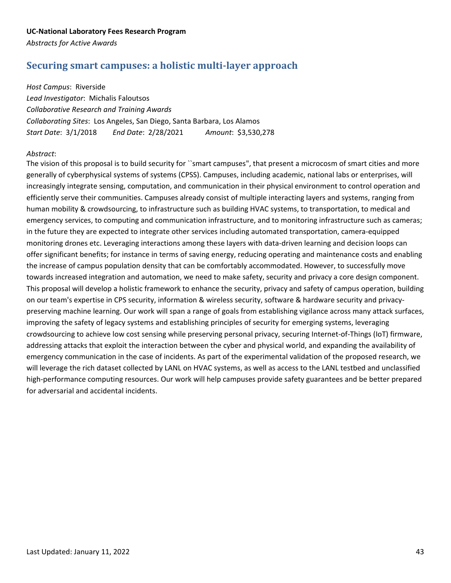### <span id="page-42-0"></span>**Securing smart campuses: a holistic multi-layer approach**

*Host Campus*: Riverside *Lead Investigator*: Michalis Faloutsos *Collaborative Research and Training Awards Collaborating Sites*: Los Angeles, San Diego, Santa Barbara, Los Alamos *Start Date*: 3/1/2018 *End Date*: 2/28/2021 *Amount*: \$3,530,278

### *Abstract*:

The vision of this proposal is to build security for ``smart campuses", that present a microcosm of smart cities and more generally of cyberphysical systems of systems (CPSS). Campuses, including academic, national labs or enterprises, will increasingly integrate sensing, computation, and communication in their physical environment to control operation and efficiently serve their communities. Campuses already consist of multiple interacting layers and systems, ranging from human mobility & crowdsourcing, to infrastructure such as building HVAC systems, to transportation, to medical and emergency services, to computing and communication infrastructure, and to monitoring infrastructure such as cameras; in the future they are expected to integrate other services including automated transportation, camera-equipped monitoring drones etc. Leveraging interactions among these layers with data-driven learning and decision loops can offer significant benefits; for instance in terms of saving energy, reducing operating and maintenance costs and enabling the increase of campus population density that can be comfortably accommodated. However, to successfully move towards increased integration and automation, we need to make safety, security and privacy a core design component. This proposal will develop a holistic framework to enhance the security, privacy and safety of campus operation, building on our team's expertise in CPS security, information & wireless security, software & hardware security and privacypreserving machine learning. Our work will span a range of goals from establishing vigilance across many attack surfaces, improving the safety of legacy systems and establishing principles of security for emerging systems, leveraging crowdsourcing to achieve low cost sensing while preserving personal privacy, securing Internet-of-Things (IoT) firmware, addressing attacks that exploit the interaction between the cyber and physical world, and expanding the availability of emergency communication in the case of incidents. As part of the experimental validation of the proposed research, we will leverage the rich dataset collected by LANL on HVAC systems, as well as access to the LANL testbed and unclassified high-performance computing resources. Our work will help campuses provide safety guarantees and be better prepared for adversarial and accidental incidents.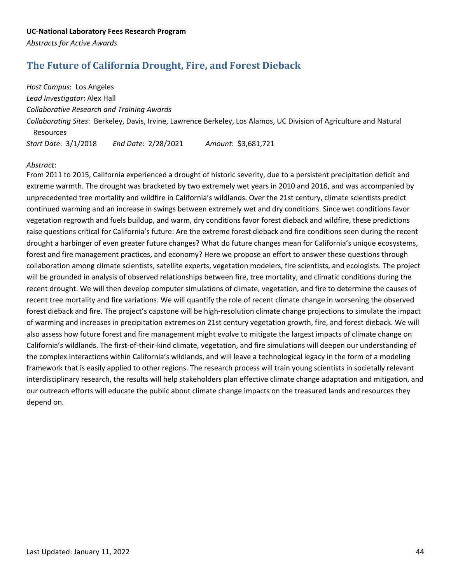## <span id="page-43-0"></span>**The Future of California Drought, Fire, and Forest Dieback**

*Host Campus*: Los Angeles *Lead Investigator*: Alex Hall *Collaborative Research and Training Awards Collaborating Sites*: Berkeley, Davis, Irvine, Lawrence Berkeley, Los Alamos, UC Division of Agriculture and Natural Resources *Start Date*: 3/1/2018 *End Date*: 2/28/2021 *Amount*: \$3,681,721

#### *Abstract*:

From 2011 to 2015, California experienced a drought of historic severity, due to a persistent precipitation deficit and extreme warmth. The drought was bracketed by two extremely wet years in 2010 and 2016, and was accompanied by unprecedented tree mortality and wildfire in California's wildlands. Over the 21st century, climate scientists predict continued warming and an increase in swings between extremely wet and dry conditions. Since wet conditions favor vegetation regrowth and fuels buildup, and warm, dry conditions favor forest dieback and wildfire, these predictions raise questions critical for California's future: Are the extreme forest dieback and fire conditions seen during the recent drought a harbinger of even greater future changes? What do future changes mean for California's unique ecosystems, forest and fire management practices, and economy? Here we propose an effort to answer these questions through collaboration among climate scientists, satellite experts, vegetation modelers, fire scientists, and ecologists. The project will be grounded in analysis of observed relationships between fire, tree mortality, and climatic conditions during the recent drought. We will then develop computer simulations of climate, vegetation, and fire to determine the causes of recent tree mortality and fire variations. We will quantify the role of recent climate change in worsening the observed forest dieback and fire. The project's capstone will be high-resolution climate change projections to simulate the impact of warming and increases in precipitation extremes on 21st century vegetation growth, fire, and forest dieback. We will also assess how future forest and fire management might evolve to mitigate the largest impacts of climate change on California's wildlands. The first-of-their-kind climate, vegetation, and fire simulations will deepen our understanding of the complex interactions within California's wildlands, and will leave a technological legacy in the form of a modeling framework that is easily applied to other regions. The research process will train young scientists in societally relevant interdisciplinary research, the results will help stakeholders plan effective climate change adaptation and mitigation, and our outreach efforts will educate the public about climate change impacts on the treasured lands and resources they depend on.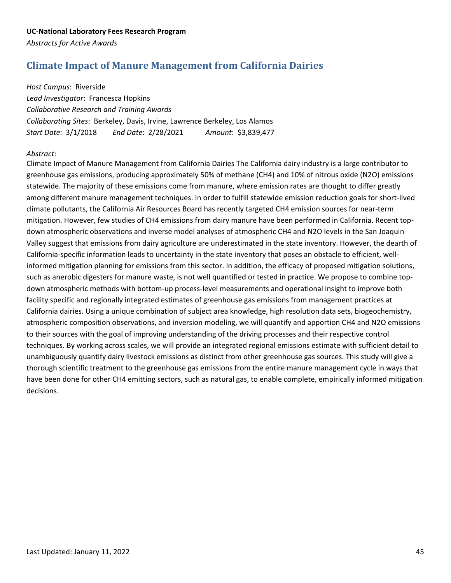### <span id="page-44-0"></span>**Climate Impact of Manure Management from California Dairies**

*Host Campus*: Riverside *Lead Investigator*: Francesca Hopkins *Collaborative Research and Training Awards Collaborating Sites*: Berkeley, Davis, Irvine, Lawrence Berkeley, Los Alamos *Start Date*: 3/1/2018 *End Date*: 2/28/2021 *Amount*: \$3,839,477

#### *Abstract*:

Climate Impact of Manure Management from California Dairies The California dairy industry is a large contributor to greenhouse gas emissions, producing approximately 50% of methane (CH4) and 10% of nitrous oxide (N2O) emissions statewide. The majority of these emissions come from manure, where emission rates are thought to differ greatly among different manure management techniques. In order to fulfill statewide emission reduction goals for short-lived climate pollutants, the California Air Resources Board has recently targeted CH4 emission sources for near-term mitigation. However, few studies of CH4 emissions from dairy manure have been performed in California. Recent topdown atmospheric observations and inverse model analyses of atmospheric CH4 and N2O levels in the San Joaquin Valley suggest that emissions from dairy agriculture are underestimated in the state inventory. However, the dearth of California-specific information leads to uncertainty in the state inventory that poses an obstacle to efficient, wellinformed mitigation planning for emissions from this sector. In addition, the efficacy of proposed mitigation solutions, such as anerobic digesters for manure waste, is not well quantified or tested in practice. We propose to combine topdown atmospheric methods with bottom-up process-level measurements and operational insight to improve both facility specific and regionally integrated estimates of greenhouse gas emissions from management practices at California dairies. Using a unique combination of subject area knowledge, high resolution data sets, biogeochemistry, atmospheric composition observations, and inversion modeling, we will quantify and apportion CH4 and N2O emissions to their sources with the goal of improving understanding of the driving processes and their respective control techniques. By working across scales, we will provide an integrated regional emissions estimate with sufficient detail to unambiguously quantify dairy livestock emissions as distinct from other greenhouse gas sources. This study will give a thorough scientific treatment to the greenhouse gas emissions from the entire manure management cycle in ways that have been done for other CH4 emitting sectors, such as natural gas, to enable complete, empirically informed mitigation decisions.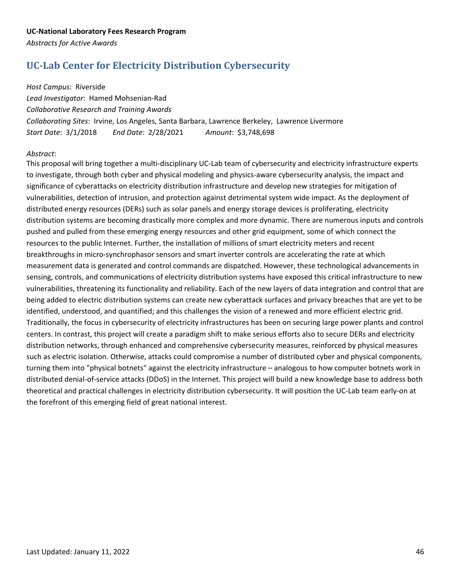# <span id="page-45-0"></span>**UC-Lab Center for Electricity Distribution Cybersecurity**

*Host Campus*: Riverside

*Lead Investigator*: Hamed Mohsenian-Rad *Collaborative Research and Training Awards Collaborating Sites*: Irvine, Los Angeles, Santa Barbara, Lawrence Berkeley, Lawrence Livermore *Start Date*: 3/1/2018 *End Date*: 2/28/2021 *Amount*: \$3,748,698

### *Abstract*:

This proposal will bring together a multi-disciplinary UC-Lab team of cybersecurity and electricity infrastructure experts to investigate, through both cyber and physical modeling and physics-aware cybersecurity analysis, the impact and significance of cyberattacks on electricity distribution infrastructure and develop new strategies for mitigation of vulnerabilities, detection of intrusion, and protection against detrimental system wide impact. As the deployment of distributed energy resources (DERs) such as solar panels and energy storage devices is proliferating, electricity distribution systems are becoming drastically more complex and more dynamic. There are numerous inputs and controls pushed and pulled from these emerging energy resources and other grid equipment, some of which connect the resources to the public Internet. Further, the installation of millions of smart electricity meters and recent breakthroughs in micro-synchrophasor sensors and smart inverter controls are accelerating the rate at which measurement data is generated and control commands are dispatched. However, these technological advancements in sensing, controls, and communications of electricity distribution systems have exposed this critical infrastructure to new vulnerabilities, threatening its functionality and reliability. Each of the new layers of data integration and control that are being added to electric distribution systems can create new cyberattack surfaces and privacy breaches that are yet to be identified, understood, and quantified; and this challenges the vision of a renewed and more efficient electric grid. Traditionally, the focus in cybersecurity of electricity infrastructures has been on securing large power plants and control centers. In contrast, this project will create a paradigm shift to make serious efforts also to secure DERs and electricity distribution networks, through enhanced and comprehensive cybersecurity measures, reinforced by physical measures such as electric isolation. Otherwise, attacks could compromise a number of distributed cyber and physical components, turning them into "physical botnets" against the electricity infrastructure – analogous to how computer botnets work in distributed denial-of-service attacks (DDoS) in the Internet. This project will build a new knowledge base to address both theoretical and practical challenges in electricity distribution cybersecurity. It will position the UC-Lab team early-on at the forefront of this emerging field of great national interest.